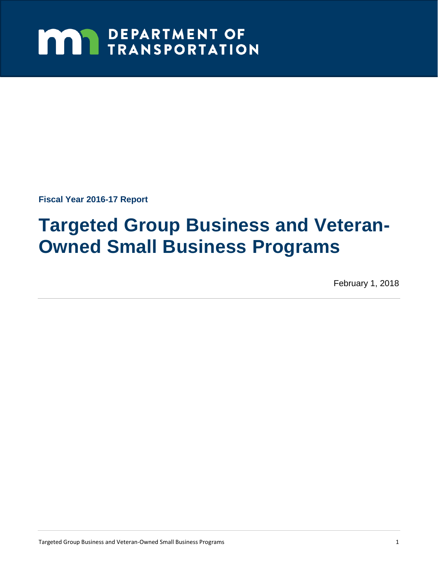# **MAY DEPARTMENT OF TRANSPORTATION**

**Fiscal Year 2016-17 Report** 

# **Targeted Group Business and Veteran-Owned Small Business Programs**

February 1, 2018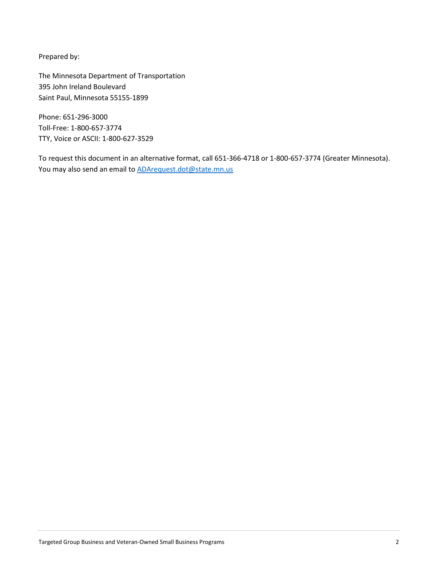Prepared by:

The Minnesota Department of Transportation 395 John Ireland Boulevard Saint Paul, Minnesota 55155-1899

Phone: 651-296-3000 Toll-Free: 1-800-657-3774 TTY, Voice or ASCII: 1-800-627-3529

To request this document in an alternative format, call 651-366-4718 or 1-800-657-3774 (Greater Minnesota). You may also send an email t[o ADArequest.dot@state.mn.us](mailto:ADArequest.dot@state.mn.us)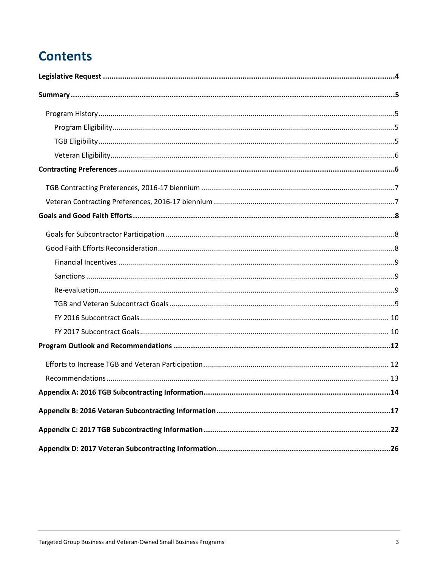# **Contents**

| .14 |
|-----|
|     |
|     |
|     |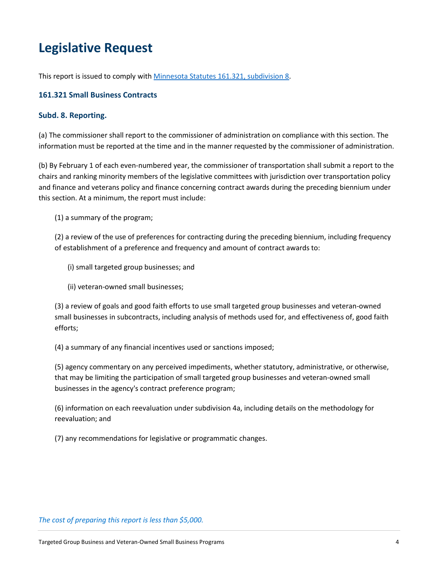# <span id="page-3-0"></span>**Legislative Request**

This report is issued to comply with [Minnesota Statutes 161.321, subdivision](https://www.revisor.mn.gov/statutes/?id=161.321) 8.

#### **161.321 Small Business Contracts**

#### **Subd. 8. Reporting.**

(a) The commissioner shall report to the commissioner of administration on compliance with this section. The information must be reported at the time and in the manner requested by the commissioner of administration.

(b) By February 1 of each even-numbered year, the commissioner of transportation shall submit a report to the chairs and ranking minority members of the legislative committees with jurisdiction over transportation policy and finance and veterans policy and finance concerning contract awards during the preceding biennium under this section. At a minimum, the report must include:

(1) a summary of the program;

(2) a review of the use of preferences for contracting during the preceding biennium, including frequency of establishment of a preference and frequency and amount of contract awards to:

(i) small targeted group businesses; and

(ii) veteran-owned small businesses;

(3) a review of goals and good faith efforts to use small targeted group businesses and veteran-owned small businesses in subcontracts, including analysis of methods used for, and effectiveness of, good faith efforts;

(4) a summary of any financial incentives used or sanctions imposed;

(5) agency commentary on any perceived impediments, whether statutory, administrative, or otherwise, that may be limiting the participation of small targeted group businesses and veteran-owned small businesses in the agency's contract preference program;

(6) information on each reevaluation under subdivision 4a, including details on the methodology for reevaluation; and

(7) any recommendations for legislative or programmatic changes.

#### *The cost of preparing this report is less than \$5,000.*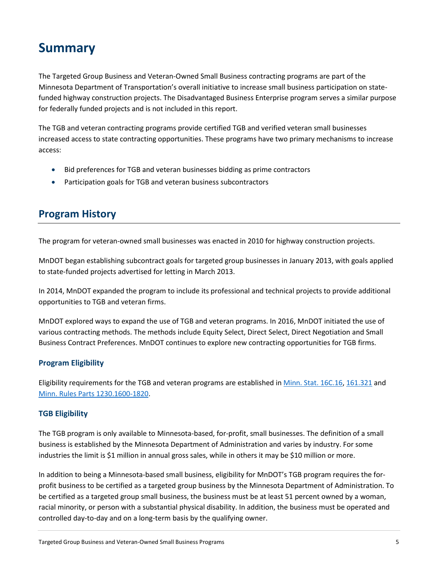# <span id="page-4-0"></span>**Summary**

The Targeted Group Business and Veteran-Owned Small Business contracting programs are part of the Minnesota Department of Transportation's overall initiative to increase small business participation on statefunded highway construction projects. The Disadvantaged Business Enterprise program serves a similar purpose for federally funded projects and is not included in this report.

The TGB and veteran contracting programs provide certified TGB and verified veteran small businesses increased access to state contracting opportunities. These programs have two primary mechanisms to increase access:

- Bid preferences for TGB and veteran businesses bidding as prime contractors
- <span id="page-4-1"></span>• Participation goals for TGB and veteran business subcontractors

## **Program History**

The program for veteran-owned small businesses was enacted in 2010 for highway construction projects.

MnDOT began establishing subcontract goals for targeted group businesses in January 2013, with goals applied to state-funded projects advertised for letting in March 2013.

In 2014, MnDOT expanded the program to include its professional and technical projects to provide additional opportunities to TGB and veteran firms.

MnDOT explored ways to expand the use of TGB and veteran programs. In 2016, MnDOT initiated the use of various contracting methods. The methods include Equity Select, Direct Select, Direct Negotiation and Small Business Contract Preferences. MnDOT continues to explore new contracting opportunities for TGB firms.

## <span id="page-4-2"></span>**Program Eligibility**

Eligibility requirements for the TGB and veteran programs are established in [Minn. Stat. 16C.16,](https://www.revisor.mn.gov/statutes/?id=16C.16) [161.321](https://www.revisor.mn.gov/statutes/?id=161.321) and Minn. [Rules Parts 1230.1600-1820.](https://www.revisor.mn.gov/rules/?id=1230.1600)

## <span id="page-4-3"></span>**TGB Eligibility**

The TGB program is only available to Minnesota-based, for-profit, small businesses. The definition of a small business is established by the Minnesota Department of Administration and varies by industry. For some industries the limit is \$1 million in annual gross sales, while in others it may be \$10 million or more.

In addition to being a Minnesota-based small business, eligibility for MnDOT's TGB program requires the forprofit business to be certified as a targeted group business by the Minnesota Department of Administration. To be certified as a targeted group small business, the business must be at least 51 percent owned by a woman, racial minority, or person with a substantial physical disability. In addition, the business must be operated and controlled day-to-day and on a long-term basis by the qualifying owner.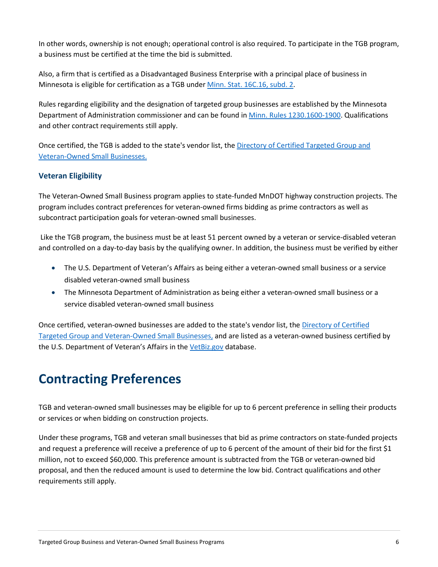In other words, ownership is not enough; operational control is also required. To participate in the TGB program, a business must be certified at the time the bid is submitted.

Also, a firm that is certified as a Disadvantaged Business Enterprise with a principal place of business in Minnesota is eligible for certification as a TGB under [Minn. Stat. 16C.16, subd. 2.](https://www.revisor.mn.gov/statutes/?id=16C.16)

Rules regarding eligibility and the designation of targeted group businesses are established by the Minnesota Department of Administration commissioner and can be found in [Minn. Rules 1230.1600-1900.](https://www.revisor.mn.gov/rules?id=1230.1600&keyword_type=all&keyword=1230.1600) Qualifications and other contract requirements still apply.

Once certified, the TGB is added to the state's vendor list, the [Directory of Certified Targeted Group](http://www.mmd.admin.state.mn.us/process/search/) and [Veteran-Owned Small Businesses.](http://www.mmd.admin.state.mn.us/process/search/)

## <span id="page-5-0"></span>**Veteran Eligibility**

The Veteran-Owned Small Business program applies to state-funded MnDOT highway construction projects. The program includes contract preferences for veteran-owned firms bidding as prime contractors as well as subcontract participation goals for veteran-owned small businesses.

Like the TGB program, the business must be at least 51 percent owned by a veteran or service-disabled veteran and controlled on a day-to-day basis by the qualifying owner. In addition, the business must be verified by either

- The U.S. Department of Veteran's Affairs as being either a veteran-owned small business or a service disabled veteran-owned small business
- The Minnesota Department of Administration as being either a veteran-owned small business or a service disabled veteran-owned small business

Once certified, veteran-owned businesses are added to the state's vendor list, the [Directory of Certified](http://www.mmd.admin.state.mn.us/process/search/)  [Targeted Group](http://www.mmd.admin.state.mn.us/process/search/) and Veteran-Owned Small Businesses, and are listed as a veteran-owned business certified by the U.S. Department of Veteran's Affairs in the [VetBiz.gov](https://www.vip.vetbiz.gov/) database.

# <span id="page-5-1"></span>**Contracting Preferences**

TGB and veteran-owned small businesses may be eligible for up to 6 percent preference in selling their products or services or when bidding on construction projects.

Under these programs, TGB and veteran small businesses that bid as prime contractors on state-funded projects and request a preference will receive a preference of up to 6 percent of the amount of their bid for the first \$1 million, not to exceed \$60,000. This preference amount is subtracted from the TGB or veteran-owned bid proposal, and then the reduced amount is used to determine the low bid. Contract qualifications and other requirements still apply.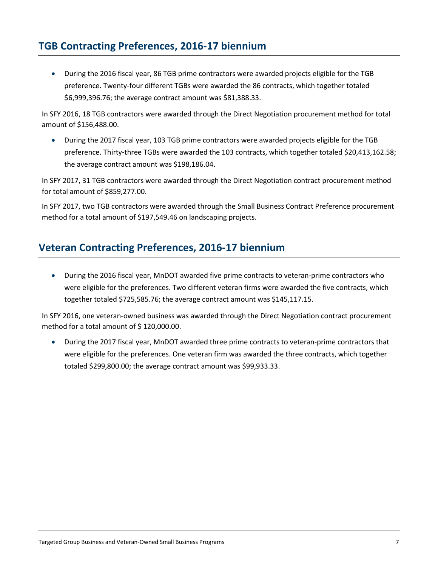## <span id="page-6-0"></span>**TGB Contracting Preferences, 2016-17 biennium**

• During the 2016 fiscal year, 86 TGB prime contractors were awarded projects eligible for the TGB preference. Twenty-four different TGBs were awarded the 86 contracts, which together totaled \$6,999,396.76; the average contract amount was \$81,388.33.

In SFY 2016, 18 TGB contractors were awarded through the Direct Negotiation procurement method for total amount of \$156,488.00.

• During the 2017 fiscal year, 103 TGB prime contractors were awarded projects eligible for the TGB preference. Thirty-three TGBs were awarded the 103 contracts, which together totaled \$20,413,162.58; the average contract amount was \$198,186.04.

In SFY 2017, 31 TGB contractors were awarded through the Direct Negotiation contract procurement method for total amount of \$859,277.00.

In SFY 2017, two TGB contractors were awarded through the Small Business Contract Preference procurement method for a total amount of \$197,549.46 on landscaping projects.

## <span id="page-6-1"></span>**Veteran Contracting Preferences, 2016-17 biennium**

• During the 2016 fiscal year, MnDOT awarded five prime contracts to veteran-prime contractors who were eligible for the preferences. Two different veteran firms were awarded the five contracts, which together totaled \$725,585.76; the average contract amount was \$145,117.15.

In SFY 2016, one veteran-owned business was awarded through the Direct Negotiation contract procurement method for a total amount of \$120,000.00.

• During the 2017 fiscal year, MnDOT awarded three prime contracts to veteran-prime contractors that were eligible for the preferences. One veteran firm was awarded the three contracts, which together totaled \$299,800.00; the average contract amount was \$99,933.33.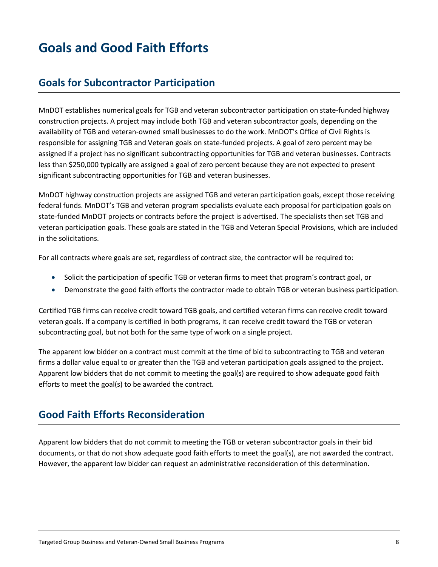# <span id="page-7-0"></span>**Goals and Good Faith Efforts**

## <span id="page-7-1"></span>**Goals for Subcontractor Participation**

MnDOT establishes numerical goals for TGB and veteran subcontractor participation on state-funded highway construction projects. A project may include both TGB and veteran subcontractor goals, depending on the availability of TGB and veteran-owned small businesses to do the work. MnDOT's Office of Civil Rights is responsible for assigning TGB and Veteran goals on state-funded projects. A goal of zero percent may be assigned if a project has no significant subcontracting opportunities for TGB and veteran businesses. Contracts less than \$250,000 typically are assigned a goal of zero percent because they are not expected to present significant subcontracting opportunities for TGB and veteran businesses.

MnDOT highway construction projects are assigned TGB and veteran participation goals, except those receiving federal funds. MnDOT's TGB and veteran program specialists evaluate each proposal for participation goals on state-funded MnDOT projects or contracts before the project is advertised. The specialists then set TGB and veteran participation goals. These goals are stated in the TGB and Veteran Special Provisions, which are included in the solicitations.

For all contracts where goals are set, regardless of contract size, the contractor will be required to:

- Solicit the participation of specific TGB or veteran firms to meet that program's contract goal, or
- Demonstrate the good faith efforts the contractor made to obtain TGB or veteran business participation.

Certified TGB firms can receive credit toward TGB goals, and certified veteran firms can receive credit toward veteran goals. If a company is certified in both programs, it can receive credit toward the TGB or veteran subcontracting goal, but not both for the same type of work on a single project.

The apparent low bidder on a contract must commit at the time of bid to subcontracting to TGB and veteran firms a dollar value equal to or greater than the TGB and veteran participation goals assigned to the project. Apparent low bidders that do not commit to meeting the goal(s) are required to show adequate good faith efforts to meet the goal(s) to be awarded the contract.

## <span id="page-7-2"></span>**Good Faith Efforts Reconsideration**

Apparent low bidders that do not commit to meeting the TGB or veteran subcontractor goals in their bid documents, or that do not show adequate good faith efforts to meet the goal(s), are not awarded the contract. However, the apparent low bidder can request an administrative reconsideration of this determination.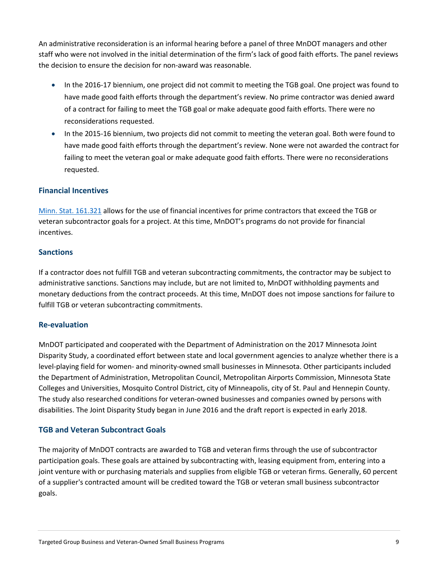An administrative reconsideration is an informal hearing before a panel of three MnDOT managers and other staff who were not involved in the initial determination of the firm's lack of good faith efforts. The panel reviews the decision to ensure the decision for non-award was reasonable.

- In the 2016-17 biennium, one project did not commit to meeting the TGB goal. One project was found to have made good faith efforts through the department's review. No prime contractor was denied award of a contract for failing to meet the TGB goal or make adequate good faith efforts. There were no reconsiderations requested.
- In the 2015-16 biennium, two projects did not commit to meeting the veteran goal. Both were found to have made good faith efforts through the department's review. None were not awarded the contract for failing to meet the veteran goal or make adequate good faith efforts. There were no reconsiderations requested.

## <span id="page-8-0"></span>**Financial Incentives**

[Minn. Stat. 161.321](https://www.revisor.mn.gov/statutes/?id=161.321) allows for the use of financial incentives for prime contractors that exceed the TGB or veteran subcontractor goals for a project. At this time, MnDOT's programs do not provide for financial incentives.

### <span id="page-8-1"></span>**Sanctions**

If a contractor does not fulfill TGB and veteran subcontracting commitments, the contractor may be subject to administrative sanctions. Sanctions may include, but are not limited to, MnDOT withholding payments and monetary deductions from the contract proceeds. At this time, MnDOT does not impose sanctions for failure to fulfill TGB or veteran subcontracting commitments.

### <span id="page-8-2"></span>**Re-evaluation**

MnDOT participated and cooperated with the Department of Administration on the 2017 Minnesota Joint Disparity Study, a coordinated effort between state and local government agencies to analyze whether there is a level-playing field for women- and minority-owned small businesses in Minnesota. Other participants included the Department of Administration, Metropolitan Council, Metropolitan Airports Commission, Minnesota State Colleges and Universities, Mosquito Control District, city of Minneapolis, city of St. Paul and Hennepin County. The study also researched conditions for veteran-owned businesses and companies owned by persons with disabilities. The Joint Disparity Study began in June 2016 and the draft report is expected in early 2018.

### <span id="page-8-3"></span>**TGB and Veteran Subcontract Goals**

The majority of MnDOT contracts are awarded to TGB and veteran firms through the use of subcontractor participation goals. These goals are attained by subcontracting with, leasing equipment from, entering into a joint venture with or purchasing materials and supplies from eligible TGB or veteran firms. Generally, 60 percent of a supplier's contracted amount will be credited toward the TGB or veteran small business subcontractor goals.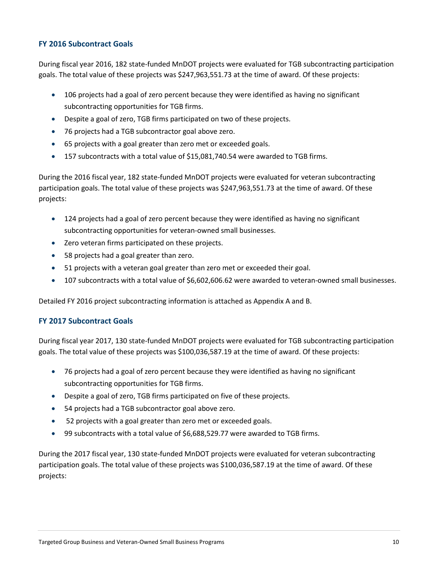#### <span id="page-9-0"></span>**FY 2016 Subcontract Goals**

During fiscal year 2016, 182 state-funded MnDOT projects were evaluated for TGB subcontracting participation goals. The total value of these projects was \$247,963,551.73 at the time of award. Of these projects:

- 106 projects had a goal of zero percent because they were identified as having no significant subcontracting opportunities for TGB firms.
- Despite a goal of zero, TGB firms participated on two of these projects.
- 76 projects had a TGB subcontractor goal above zero.
- 65 projects with a goal greater than zero met or exceeded goals.
- 157 subcontracts with a total value of \$15,081,740.54 were awarded to TGB firms.

During the 2016 fiscal year, 182 state-funded MnDOT projects were evaluated for veteran subcontracting participation goals. The total value of these projects was \$247,963,551.73 at the time of award. Of these projects:

- 124 projects had a goal of zero percent because they were identified as having no significant subcontracting opportunities for veteran-owned small businesses.
- Zero veteran firms participated on these projects.
- 58 projects had a goal greater than zero.
- 51 projects with a veteran goal greater than zero met or exceeded their goal.
- 107 subcontracts with a total value of \$6,602,606.62 were awarded to veteran-owned small businesses.

Detailed FY 2016 project subcontracting information is attached as Appendix A and B.

### <span id="page-9-1"></span>**FY 2017 Subcontract Goals**

During fiscal year 2017, 130 state-funded MnDOT projects were evaluated for TGB subcontracting participation goals. The total value of these projects was \$100,036,587.19 at the time of award. Of these projects:

- 76 projects had a goal of zero percent because they were identified as having no significant subcontracting opportunities for TGB firms.
- Despite a goal of zero, TGB firms participated on five of these projects.
- 54 projects had a TGB subcontractor goal above zero.
- 52 projects with a goal greater than zero met or exceeded goals.
- 99 subcontracts with a total value of \$6,688,529.77 were awarded to TGB firms.

During the 2017 fiscal year, 130 state-funded MnDOT projects were evaluated for veteran subcontracting participation goals. The total value of these projects was \$100,036,587.19 at the time of award. Of these projects: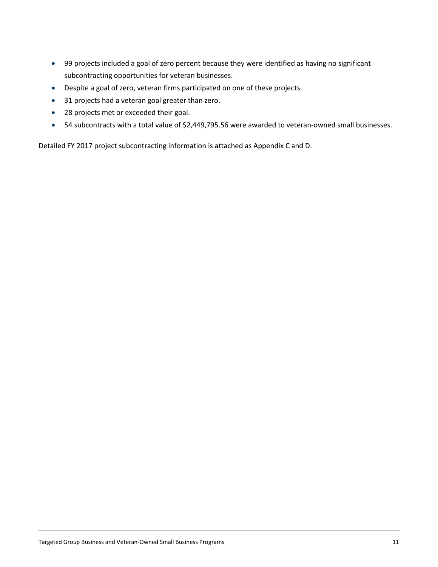- 99 projects included a goal of zero percent because they were identified as having no significant subcontracting opportunities for veteran businesses.
- Despite a goal of zero, veteran firms participated on one of these projects.
- 31 projects had a veteran goal greater than zero.
- 28 projects met or exceeded their goal.
- 54 subcontracts with a total value of \$2,449,795.56 were awarded to veteran-owned small businesses.

Detailed FY 2017 project subcontracting information is attached as Appendix C and D.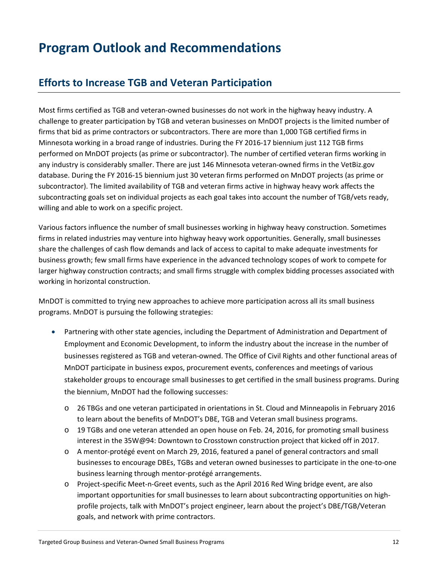# <span id="page-11-0"></span>**Program Outlook and Recommendations**

## <span id="page-11-1"></span>**Efforts to Increase TGB and Veteran Participation**

Most firms certified as TGB and veteran-owned businesses do not work in the highway heavy industry. A challenge to greater participation by TGB and veteran businesses on MnDOT projects is the limited number of firms that bid as prime contractors or subcontractors. There are more than 1,000 TGB certified firms in Minnesota working in a broad range of industries. During the FY 2016-17 biennium just 112 TGB firms performed on MnDOT projects (as prime or subcontractor). The number of certified veteran firms working in any industry is considerably smaller. There are just 146 Minnesota veteran-owned firms in the VetBiz.gov database. During the FY 2016-15 biennium just 30 veteran firms performed on MnDOT projects (as prime or subcontractor). The limited availability of TGB and veteran firms active in highway heavy work affects the subcontracting goals set on individual projects as each goal takes into account the number of TGB/vets ready, willing and able to work on a specific project.

Various factors influence the number of small businesses working in highway heavy construction. Sometimes firms in related industries may venture into highway heavy work opportunities. Generally, small businesses share the challenges of cash flow demands and lack of access to capital to make adequate investments for business growth; few small firms have experience in the advanced technology scopes of work to compete for larger highway construction contracts; and small firms struggle with complex bidding processes associated with working in horizontal construction.

MnDOT is committed to trying new approaches to achieve more participation across all its small business programs. MnDOT is pursuing the following strategies:

- Partnering with other state agencies, including the Department of Administration and Department of Employment and Economic Development, to inform the industry about the increase in the number of businesses registered as TGB and veteran-owned. The Office of Civil Rights and other functional areas of MnDOT participate in business expos, procurement events, conferences and meetings of various stakeholder groups to encourage small businesses to get certified in the small business programs. During the biennium, MnDOT had the following successes:
	- o 26 TBGs and one veteran participated in orientations in St. Cloud and Minneapolis in February 2016 to learn about the benefits of MnDOT's DBE, TGB and Veteran small business programs.
	- o 19 TGBs and one veteran attended an open house on Feb. 24, 2016, for promoting small business interest in the 35W@94: Downtown to Crosstown construction project that kicked off in 2017.
	- o A mentor-protégé event on March 29, 2016, featured a panel of general contractors and small businesses to encourage DBEs, TGBs and veteran owned businesses to participate in the one-to-one business learning through mentor-protégé arrangements.
	- o Project-specific Meet-n-Greet events, such as the April 2016 Red Wing bridge event, are also important opportunities for small businesses to learn about subcontracting opportunities on highprofile projects, talk with MnDOT's project engineer, learn about the project's DBE/TGB/Veteran goals, and network with prime contractors.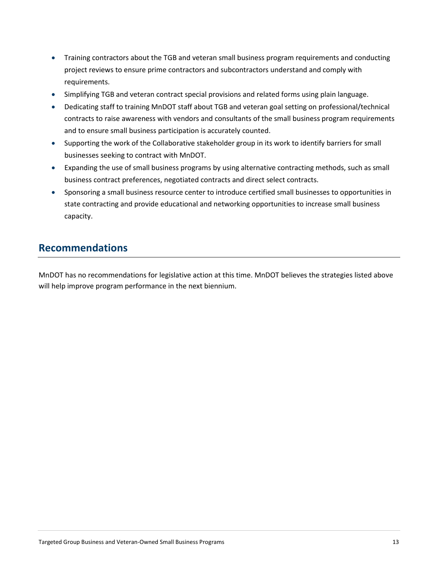- Training contractors about the TGB and veteran small business program requirements and conducting project reviews to ensure prime contractors and subcontractors understand and comply with requirements.
- Simplifying TGB and veteran contract special provisions and related forms using plain language.
- Dedicating staff to training MnDOT staff about TGB and veteran goal setting on professional/technical contracts to raise awareness with vendors and consultants of the small business program requirements and to ensure small business participation is accurately counted.
- Supporting the work of the Collaborative stakeholder group in its work to identify barriers for small businesses seeking to contract with MnDOT.
- Expanding the use of small business programs by using alternative contracting methods, such as small business contract preferences, negotiated contracts and direct select contracts.
- Sponsoring a small business resource center to introduce certified small businesses to opportunities in state contracting and provide educational and networking opportunities to increase small business capacity.

## <span id="page-12-0"></span>**Recommendations**

MnDOT has no recommendations for legislative action at this time. MnDOT believes the strategies listed above will help improve program performance in the next biennium.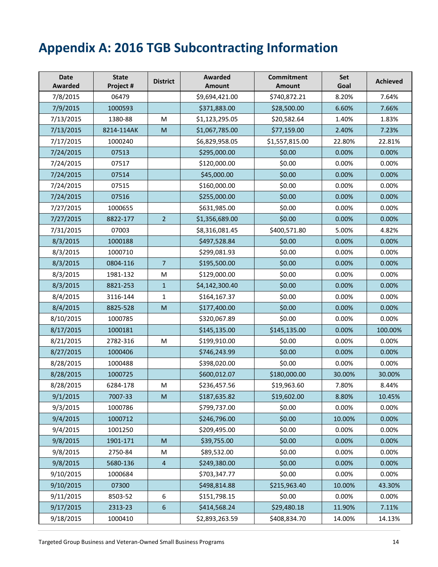# <span id="page-13-0"></span>**Appendix A: 2016 TGB Subcontracting Information**

| <b>Date</b><br><b>Awarded</b> | <b>State</b><br>Project # | <b>District</b> | Awarded<br><b>Amount</b> | <b>Commitment</b><br><b>Amount</b> | <b>Set</b><br>Goal | <b>Achieved</b> |
|-------------------------------|---------------------------|-----------------|--------------------------|------------------------------------|--------------------|-----------------|
| 7/8/2015                      | 06479                     |                 | \$9,694,421.00           | \$740,872.21                       | 8.20%              | 7.64%           |
| 7/9/2015                      | 1000593                   |                 | \$371,883.00             | \$28,500.00                        | 6.60%              | 7.66%           |
| 7/13/2015                     | 1380-88                   | M               | \$1,123,295.05           | \$20,582.64                        | 1.40%              | 1.83%           |
| 7/13/2015                     | 8214-114AK                | M               | \$1,067,785.00           | \$77,159.00                        | 2.40%              | 7.23%           |
| 7/17/2015                     | 1000240                   |                 | \$6,829,958.05           | \$1,557,815.00                     | 22.80%             | 22.81%          |
| 7/24/2015                     | 07513                     |                 | \$295,000.00             | \$0.00                             | 0.00%              | 0.00%           |
| 7/24/2015                     | 07517                     |                 | \$120,000.00             | \$0.00                             | 0.00%              | 0.00%           |
| 7/24/2015                     | 07514                     |                 | \$45,000.00              | \$0.00                             | 0.00%              | 0.00%           |
| 7/24/2015                     | 07515                     |                 | \$160,000.00             | \$0.00                             | 0.00%              | 0.00%           |
| 7/24/2015                     | 07516                     |                 | \$255,000.00             | \$0.00                             | 0.00%              | 0.00%           |
| 7/27/2015                     | 1000655                   |                 | \$631,985.00             | \$0.00                             | 0.00%              | 0.00%           |
| 7/27/2015                     | 8822-177                  | $\overline{2}$  | \$1,356,689.00           | \$0.00                             | 0.00%              | 0.00%           |
| 7/31/2015                     | 07003                     |                 | \$8,316,081.45           | \$400,571.80                       | 5.00%              | 4.82%           |
| 8/3/2015                      | 1000188                   |                 | \$497,528.84             | \$0.00                             | 0.00%              | 0.00%           |
| 8/3/2015                      | 1000710                   |                 | \$299,081.93             | \$0.00                             | 0.00%              | 0.00%           |
| 8/3/2015                      | 0804-116                  | $\overline{7}$  | \$195,500.00             | \$0.00                             | 0.00%              | 0.00%           |
| 8/3/2015                      | 1981-132                  | M               | \$129,000.00             | \$0.00                             | 0.00%              | 0.00%           |
| 8/3/2015                      | 8821-253                  | $\mathbf{1}$    | \$4,142,300.40           | \$0.00                             | 0.00%              | 0.00%           |
| 8/4/2015                      | 3116-144                  | $\mathbf{1}$    | \$164,167.37             | \$0.00                             | 0.00%              | 0.00%           |
| 8/4/2015                      | 8825-528                  | M               | \$177,400.00             | \$0.00                             | 0.00%              | 0.00%           |
| 8/10/2015                     | 1000785                   |                 | \$320,067.89             | \$0.00                             | 0.00%              | 0.00%           |
| 8/17/2015                     | 1000181                   |                 | \$145,135.00             | \$145,135.00                       | 0.00%              | 100.00%         |
| 8/21/2015                     | 2782-316                  | M               | \$199,910.00             | \$0.00                             | 0.00%              | 0.00%           |
| 8/27/2015                     | 1000406                   |                 | \$746,243.99             | \$0.00                             | 0.00%              | 0.00%           |
| 8/28/2015                     | 1000488                   |                 | \$398,020.00             | \$0.00                             | 0.00%              | 0.00%           |
| 8/28/2015                     | 1000725                   |                 | \$600,012.07             | \$180,000.00                       | 30.00%             | 30.00%          |
| 8/28/2015                     | 6284-178                  | M               | \$236,457.56             | \$19,963.60                        | 7.80%              | 8.44%           |
| 9/1/2015                      | 7007-33                   | M               | \$187,635.82             | \$19,602.00                        | 8.80%              | 10.45%          |
| 9/3/2015                      | 1000786                   |                 | \$799,737.00             | \$0.00                             | 0.00%              | 0.00%           |
| 9/4/2015                      | 1000712                   |                 | \$246,796.00             | \$0.00                             | 10.00%             | 0.00%           |
| 9/4/2015                      | 1001250                   |                 | \$209,495.00             | \$0.00                             | 0.00%              | 0.00%           |
| 9/8/2015                      | 1901-171                  | M               | \$39,755.00              | \$0.00                             | 0.00%              | 0.00%           |
| 9/8/2015                      | 2750-84                   | M               | \$89,532.00              | \$0.00                             | 0.00%              | 0.00%           |
| 9/8/2015                      | 5680-136                  | $\overline{4}$  | \$249,380.00             | \$0.00                             | 0.00%              | 0.00%           |
| 9/10/2015                     | 1000684                   |                 | \$703,347.77             | \$0.00                             | 0.00%              | 0.00%           |
| 9/10/2015                     | 07300                     |                 | \$498,814.88             | \$215,963.40                       | 10.00%             | 43.30%          |
| 9/11/2015                     | 8503-52                   | 6               | \$151,798.15             | \$0.00                             | 0.00%              | 0.00%           |
| 9/17/2015                     | 2313-23                   | 6               | \$414,568.24             | \$29,480.18                        | 11.90%             | 7.11%           |
| 9/18/2015                     | 1000410                   |                 | \$2,893,263.59           | \$408,834.70                       | 14.00%             | 14.13%          |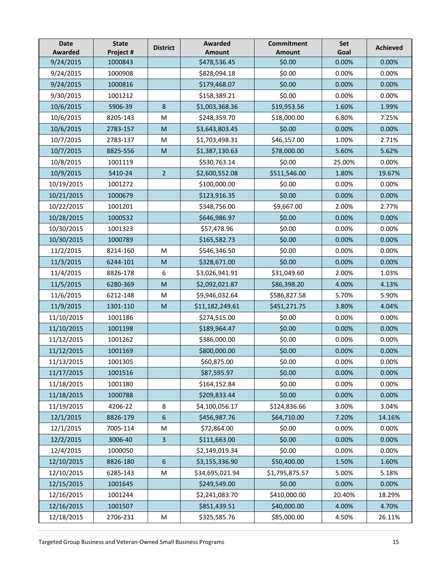| <b>Date</b><br><b>Awarded</b> | <b>State</b><br>Project # | <b>District</b> | Awarded<br><b>Amount</b> | <b>Commitment</b><br>Amount | Set<br>Goal | <b>Achieved</b> |
|-------------------------------|---------------------------|-----------------|--------------------------|-----------------------------|-------------|-----------------|
| 9/24/2015                     | 1000843                   |                 | \$478,536.45             | \$0.00                      | 0.00%       | 0.00%           |
| 9/24/2015                     | 1000908                   |                 | \$828,094.18             | \$0.00                      | 0.00%       | 0.00%           |
| 9/24/2015                     | 1000816                   |                 | \$179,468.07             | \$0.00                      | 0.00%       | 0.00%           |
| 9/30/2015                     | 1001212                   |                 | \$158,389.21             | \$0.00                      | 0.00%       | 0.00%           |
| 10/6/2015                     | 5906-39                   | 8               | \$1,003,368.36           | \$19,953.56                 | 1.60%       | 1.99%           |
| 10/6/2015                     | 8205-143                  | M               | \$248,359.70             | \$18,000.00                 | 6.80%       | 7.25%           |
| 10/6/2015                     | 2783-157                  | M               | \$3,643,803.45           | \$0.00                      | 0.00%       | 0.00%           |
| 10/7/2015                     | 2783-137                  | M               | \$1,703,498.31           | \$46,157.00                 | 1.00%       | 2.71%           |
| 10/7/2015                     | 8825-556                  | M               | \$1,387,130.63           | \$78,000.00                 | 5.60%       | 5.62%           |
| 10/8/2015                     | 1001119                   |                 | \$530,763.14             | \$0.00                      | 25.00%      | 0.00%           |
| 10/9/2015                     | 5410-24                   | $\overline{2}$  | \$2,600,552.08           | \$511,546.00                | 1.80%       | 19.67%          |
| 10/19/2015                    | 1001272                   |                 | \$100,000.00             | \$0.00                      | 0.00%       | 0.00%           |
| 10/21/2015                    | 1000679                   |                 | \$123,916.35             | \$0.00                      | 0.00%       | 0.00%           |
| 10/22/2015                    | 1001201                   |                 | \$348,756.00             | \$9,667.00                  | 2.00%       | 2.77%           |
| 10/28/2015                    | 1000532                   |                 | \$646,986.97             | \$0.00                      | 0.00%       | 0.00%           |
| 10/30/2015                    | 1001323                   |                 | \$57,478.96              | \$0.00                      | 0.00%       | 0.00%           |
| 10/30/2015                    | 1000789                   |                 | \$165,582.73             | \$0.00                      | 0.00%       | 0.00%           |
| 11/2/2015                     | 8214-160                  | M               | \$546,346.50             | \$0.00                      | 0.00%       | 0.00%           |
| 11/3/2015                     | 6244-101                  | M               | \$328,671.00             | \$0.00                      | 0.00%       | 0.00%           |
| 11/4/2015                     | 8826-178                  | 6               | \$3,026,941.91           | \$31,049.60                 | 2.00%       | 1.03%           |
| 11/5/2015                     | 6280-369                  | M               | \$2,092,021.87           | \$86,398.20                 | 4.00%       | 4.13%           |
| 11/6/2015                     | 6212-148                  | M               | \$9,946,032.64           | \$586,827.58                | 5.70%       | 5.90%           |
| 11/9/2015                     | 1301-110                  | M               | \$11,182,249.61          | \$451,271.75                | 3.80%       | 4.04%           |
| 11/10/2015                    | 1001186                   |                 | \$274,515.00             | \$0.00                      | 0.00%       | 0.00%           |
| 11/10/2015                    | 1001198                   |                 | \$189,964.47             | \$0.00                      | 0.00%       | 0.00%           |
| 11/12/2015                    | 1001262                   |                 | \$386,000.00             | \$0.00                      | 0.00%       | 0.00%           |
| 11/12/2015                    | 1001169                   |                 | \$800,000.00             | \$0.00                      | 0.00%       | 0.00%           |
| 11/13/2015                    | 1001305                   |                 | \$60,875.00              | \$0.00                      | 0.00%       | 0.00%           |
| 11/17/2015                    | 1001516                   |                 | \$87,595.97              | \$0.00                      | 0.00%       | 0.00%           |
| 11/18/2015                    | 1001180                   |                 | \$164,152.84             | \$0.00                      | 0.00%       | 0.00%           |
| 11/18/2015                    | 1000788                   |                 | \$209,833.44             | \$0.00                      | 0.00%       | 0.00%           |
| 11/19/2015                    | 4206-22                   | 8               | \$4,100,056.17           | \$124,836.66                | 3.00%       | 3.04%           |
| 12/1/2015                     | 8826-179                  | 6               | \$456,987.76             | \$64,710.00                 | 7.20%       | 14.16%          |
| 12/1/2015                     | 7005-114                  | M               | \$72,864.00              | \$0.00                      | 0.00%       | 0.00%           |
| 12/2/2015                     | 3006-40                   | $\overline{3}$  | \$111,663.00             | \$0.00                      | 0.00%       | 0.00%           |
| 12/4/2015                     | 1000050                   |                 | \$2,149,019.34           | \$0.00                      | 0.00%       | 0.00%           |
| 12/10/2015                    | 8826-180                  | 6               | \$3,155,336.90           | \$50,400.00                 | 1.50%       | 1.60%           |
| 12/10/2015                    | 6285-143                  | M               | \$34,695,021.94          | \$1,795,875.57              | 5.00%       | 5.18%           |
| 12/15/2015                    | 1001645                   |                 | \$249,549.00             | \$0.00                      | 0.00%       | 0.00%           |
| 12/16/2015                    | 1001244                   |                 | \$2,241,083.70           | \$410,000.00                | 20.40%      | 18.29%          |
| 12/16/2015                    | 1001507                   |                 | \$851,439.51             | \$40,000.00                 | 4.00%       | 4.70%           |
| 12/18/2015                    | 2706-231                  | M               | \$325,585.76             | \$85,000.00                 | 4.50%       | 26.11%          |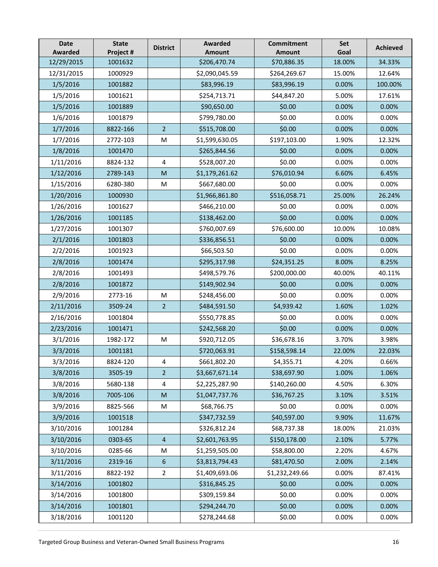| <b>Date</b><br><b>Awarded</b> | <b>State</b><br>Project # | <b>District</b>         | Awarded<br>Amount | <b>Commitment</b><br>Amount | Set<br>Goal | <b>Achieved</b> |
|-------------------------------|---------------------------|-------------------------|-------------------|-----------------------------|-------------|-----------------|
| 12/29/2015                    | 1001632                   |                         | \$206,470.74      | \$70,886.35                 | 18.00%      | 34.33%          |
| 12/31/2015                    | 1000929                   |                         | \$2,090,045.59    | \$264,269.67                | 15.00%      | 12.64%          |
| 1/5/2016                      | 1001882                   |                         | \$83,996.19       | \$83,996.19                 | 0.00%       | 100.00%         |
| 1/5/2016                      | 1001621                   |                         | \$254,713.71      | \$44,847.20                 | 5.00%       | 17.61%          |
| 1/5/2016                      | 1001889                   |                         | \$90,650.00       | \$0.00                      | 0.00%       | 0.00%           |
| 1/6/2016                      | 1001879                   |                         | \$799,780.00      | \$0.00                      | 0.00%       | 0.00%           |
| 1/7/2016                      | 8822-166                  | $\overline{2}$          | \$515,708.00      | \$0.00                      | 0.00%       | 0.00%           |
| 1/7/2016                      | 2772-103                  | M                       | \$1,599,630.05    | \$197,103.00                | 1.90%       | 12.32%          |
| 1/8/2016                      | 1001470                   |                         | \$265,844.56      | \$0.00                      | 0.00%       | 0.00%           |
| 1/11/2016                     | 8824-132                  | 4                       | \$528,007.20      | \$0.00                      | 0.00%       | 0.00%           |
| 1/12/2016                     | 2789-143                  | M                       | \$1,179,261.62    | \$76,010.94                 | 6.60%       | 6.45%           |
| 1/15/2016                     | 6280-380                  | M                       | \$667,680.00      | \$0.00                      | 0.00%       | 0.00%           |
| 1/20/2016                     | 1000930                   |                         | \$1,966,861.80    | \$516,058.71                | 25.00%      | 26.24%          |
| 1/26/2016                     | 1001627                   |                         | \$466,210.00      | \$0.00                      | 0.00%       | 0.00%           |
| 1/26/2016                     | 1001185                   |                         | \$138,462.00      | \$0.00                      | 0.00%       | 0.00%           |
| 1/27/2016                     | 1001307                   |                         | \$760,007.69      | \$76,600.00                 | 10.00%      | 10.08%          |
| 2/1/2016                      | 1001803                   |                         | \$336,856.51      | \$0.00                      | 0.00%       | 0.00%           |
| 2/2/2016                      | 1001923                   |                         | \$66,503.50       | \$0.00                      | 0.00%       | 0.00%           |
| 2/8/2016                      | 1001474                   |                         | \$295,317.98      | \$24,351.25                 | 8.00%       | 8.25%           |
| 2/8/2016                      | 1001493                   |                         | \$498,579.76      | \$200,000.00                | 40.00%      | 40.11%          |
| 2/8/2016                      | 1001872                   |                         | \$149,902.94      | \$0.00                      | 0.00%       | 0.00%           |
| 2/9/2016                      | 2773-16                   | M                       | \$248,456.00      | \$0.00                      | 0.00%       | 0.00%           |
| 2/11/2016                     | 3509-24                   | 2 <sup>2</sup>          | \$484,591.50      | \$4,939.42                  | 1.60%       | 1.02%           |
| 2/16/2016                     | 1001804                   |                         | \$550,778.85      | \$0.00                      | 0.00%       | 0.00%           |
| 2/23/2016                     | 1001471                   |                         | \$242,568.20      | \$0.00                      | 0.00%       | 0.00%           |
| 3/1/2016                      | 1982-172                  | M                       | \$920,712.05      | \$36,678.16                 | 3.70%       | 3.98%           |
| 3/3/2016                      | 1001181                   |                         | \$720,063.91      | \$158,598.14                | 22.00%      | 22.03%          |
| 3/3/2016                      | 8824-120                  | 4                       | \$661,802.20      | \$4,355.71                  | 4.20%       | 0.66%           |
| 3/8/2016                      | 3505-19                   | $\overline{2}$          | \$3,667,671.14    | \$38,697.90                 | 1.00%       | 1.06%           |
| 3/8/2016                      | 5680-138                  | $\overline{\mathbf{4}}$ | \$2,225,287.90    | \$140,260.00                | 4.50%       | 6.30%           |
| 3/8/2016                      | 7005-106                  | ${\sf M}$               | \$1,047,737.76    | \$36,767.25                 | 3.10%       | 3.51%           |
| 3/9/2016                      | 8825-566                  | M                       | \$68,766.75       | \$0.00                      | 0.00%       | 0.00%           |
| 3/9/2016                      | 1001518                   |                         | \$347,732.59      | \$40,597.00                 | 9.90%       | 11.67%          |
| 3/10/2016                     | 1001284                   |                         | \$326,812.24      | \$68,737.38                 | 18.00%      | 21.03%          |
| 3/10/2016                     | 0303-65                   | $\overline{4}$          | \$2,601,763.95    | \$150,178.00                | 2.10%       | 5.77%           |
| 3/10/2016                     | 0285-66                   | M                       | \$1,259,505.00    | \$58,800.00                 | 2.20%       | 4.67%           |
| 3/11/2016                     | 2319-16                   | $6\phantom{1}6$         | \$3,813,794.43    | \$81,470.50                 | 2.00%       | 2.14%           |
| 3/11/2016                     | 8822-192                  | $\overline{2}$          | \$1,409,693.06    | \$1,232,249.66              | 0.00%       | 87.41%          |
| 3/14/2016                     | 1001802                   |                         | \$316,845.25      | \$0.00                      | 0.00%       | 0.00%           |
| 3/14/2016                     | 1001800                   |                         | \$309,159.84      | \$0.00                      | 0.00%       | 0.00%           |
| 3/14/2016                     | 1001801                   |                         | \$294,244.70      | \$0.00                      | 0.00%       | 0.00%           |
| 3/18/2016                     | 1001120                   |                         | \$278,244.68      | \$0.00                      | 0.00%       | 0.00%           |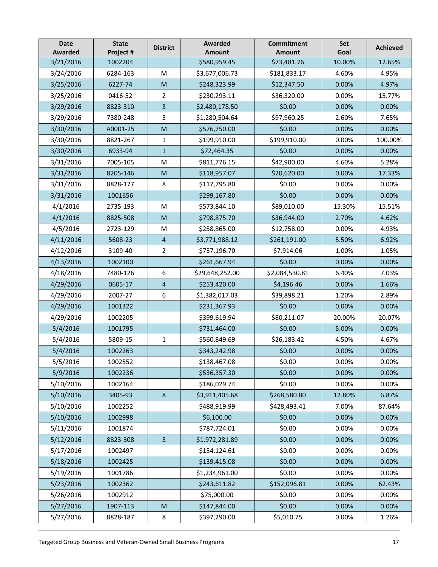| <b>Date</b><br><b>Awarded</b> | <b>State</b><br>Project # | <b>District</b> | <b>Awarded</b><br>Amount | <b>Commitment</b><br>Amount | Set<br>Goal | <b>Achieved</b> |
|-------------------------------|---------------------------|-----------------|--------------------------|-----------------------------|-------------|-----------------|
| 3/21/2016                     | 1002204                   |                 | \$580,959.45             | \$73,481.76                 | 10.00%      | 12.65%          |
| 3/24/2016                     | 6284-163                  | M               | \$3,677,006.73           | \$181,833.17                | 4.60%       | 4.95%           |
| 3/25/2016                     | 6227-74                   | M               | \$248,323.99             | \$12,347.50                 | 0.00%       | 4.97%           |
| 3/25/2016                     | 0416-52                   | $\overline{2}$  | \$230,293.11             | \$36,320.00                 | 0.00%       | 15.77%          |
| 3/29/2016                     | 8823-310                  | 3               | \$2,480,178.50           | \$0.00                      | 0.00%       | 0.00%           |
| 3/29/2016                     | 7380-248                  | 3               | \$1,280,504.64           | \$97,960.25                 | 2.60%       | 7.65%           |
| 3/30/2016                     | A0001-25                  | M               | \$576,750.00             | \$0.00                      | 0.00%       | 0.00%           |
| 3/30/2016                     | 8821-267                  | 1               | \$199,910.00             | \$199,910.00                | 0.00%       | 100.00%         |
| 3/30/2016                     | 6933-94                   | $\mathbf{1}$    | \$72,464.35              | \$0.00                      | 0.00%       | 0.00%           |
| 3/31/2016                     | 7005-105                  | M               | \$811,776.15             | \$42,900.00                 | 4.60%       | 5.28%           |
| 3/31/2016                     | 8205-146                  | M               | \$118,957.07             | \$20,620.00                 | 0.00%       | 17.33%          |
| 3/31/2016                     | 8828-177                  | 8               | \$117,795.80             | \$0.00                      | 0.00%       | 0.00%           |
| 3/31/2016                     | 1001656                   |                 | \$299,167.80             | \$0.00                      | 0.00%       | 0.00%           |
| 4/1/2016                      | 2735-193                  | M               | \$573,844.10             | \$89,010.00                 | 15.30%      | 15.51%          |
| 4/1/2016                      | 8825-508                  | M               | \$798,875.70             | \$36,944.00                 | 2.70%       | 4.62%           |
| 4/5/2016                      | 2723-129                  | M               | \$258,865.00             | \$12,758.00                 | 0.00%       | 4.93%           |
| 4/11/2016                     | 5608-23                   | 4               | \$3,771,988.12           | \$261,191.00                | 5.50%       | 6.92%           |
| 4/12/2016                     | 3109-40                   | $\overline{2}$  | \$757,196.70             | \$7,914.06                  | 1.00%       | 1.05%           |
| 4/13/2016                     | 1002100                   |                 | \$261,667.94             | \$0.00                      | 0.00%       | 0.00%           |
| 4/18/2016                     | 7480-126                  | 6               | \$29,648,252.00          | \$2,084,530.81              | 6.40%       | 7.03%           |
| 4/29/2016                     | 0605-17                   | $\overline{4}$  | \$253,420.00             | \$4,196.46                  | 0.00%       | 1.66%           |
| 4/29/2016                     | 2007-27                   | 6               | \$1,382,017.03           | \$39,898.21                 | 1.20%       | 2.89%           |
| 4/29/2016                     | 1001322                   |                 | \$231,367.93             | \$0.00                      | 0.00%       | 0.00%           |
| 4/29/2016                     | 1002205                   |                 | \$399,619.94             | \$80,211.07                 | 20.00%      | 20.07%          |
| 5/4/2016                      | 1001795                   |                 | \$731,464.00             | \$0.00                      | 5.00%       | 0.00%           |
| 5/4/2016                      | 5809-15                   | $\mathbf{1}$    | \$560,849.69             | \$26,183.42                 | 4.50%       | 4.67%           |
| 5/4/2016                      | 1002263                   |                 | \$343,242.98             | \$0.00                      | 0.00%       | 0.00%           |
| 5/5/2016                      | 1002552                   |                 | \$138,467.08             | \$0.00                      | 0.00%       | 0.00%           |
| 5/9/2016                      | 1002236                   |                 | \$536,357.30             | \$0.00                      | 0.00%       | 0.00%           |
| 5/10/2016                     | 1002164                   |                 | \$186,029.74             | \$0.00                      | 0.00%       | 0.00%           |
| 5/10/2016                     | 3405-93                   | $\bf 8$         | \$3,911,405.68           | \$268,580.80                | 12.80%      | 6.87%           |
| 5/10/2016                     | 1002252                   |                 | \$488,919.99             | \$428,493.41                | 7.00%       | 87.64%          |
| 5/10/2016                     | 1002998                   |                 | \$6,100.00               | \$0.00                      | 0.00%       | 0.00%           |
| 5/11/2016                     | 1001874                   |                 | \$787,724.01             | \$0.00                      | 0.00%       | 0.00%           |
| 5/12/2016                     | 8823-308                  | $\overline{3}$  | \$1,972,281.89           | \$0.00                      | 0.00%       | 0.00%           |
| 5/17/2016                     | 1002497                   |                 | \$154,124.61             | \$0.00                      | 0.00%       | 0.00%           |
| 5/18/2016                     | 1002425                   |                 | \$139,415.08             | \$0.00                      | 0.00%       | 0.00%           |
| 5/19/2016                     | 1001786                   |                 | \$1,234,961.00           | \$0.00                      | 0.00%       | 0.00%           |
| 5/23/2016                     | 1002362                   |                 | \$243,611.82             | \$152,096.81                | 0.00%       | 62.43%          |
| 5/26/2016                     | 1002912                   |                 | \$75,000.00              | \$0.00                      | 0.00%       | 0.00%           |
| 5/27/2016                     | 1907-113                  | M               | \$147,844.00             | \$0.00                      | 0.00%       | 0.00%           |
| 5/27/2016                     | 8828-187                  | 8               | \$397,290.00             | \$5,010.75                  | 0.00%       | 1.26%           |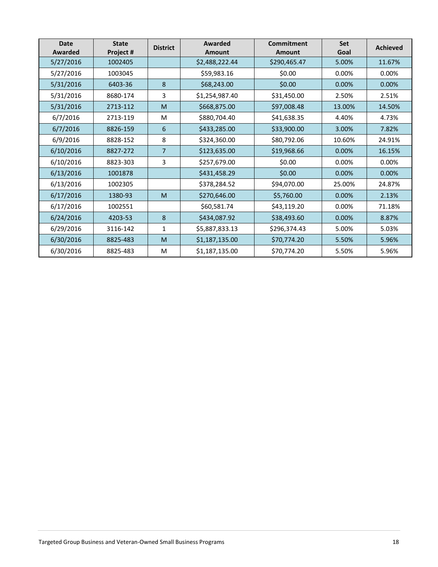| <b>Date</b><br>Awarded | <b>State</b><br>Project # | <b>District</b> | Awarded<br><b>Amount</b> | Commitment<br><b>Amount</b> | Set<br>Goal | <b>Achieved</b> |
|------------------------|---------------------------|-----------------|--------------------------|-----------------------------|-------------|-----------------|
| 5/27/2016              | 1002405                   |                 | \$2,488,222.44           | \$290,465.47                | 5.00%       | 11.67%          |
| 5/27/2016              | 1003045                   |                 | \$59,983.16              | \$0.00                      | 0.00%       | 0.00%           |
| 5/31/2016              | 6403-36                   | 8               | \$68,243.00              | \$0.00                      | 0.00%       | 0.00%           |
| 5/31/2016              | 8680-174                  | 3               | \$1,254,987.40           | \$31,450.00                 | 2.50%       | 2.51%           |
| 5/31/2016              | 2713-112                  | M               | \$668,875.00             | \$97,008.48                 | 13.00%      | 14.50%          |
| 6/7/2016               | 2713-119                  | M               | \$880,704.40             | \$41,638.35                 | 4.40%       | 4.73%           |
| 6/7/2016               | 8826-159                  | 6               | \$433,285.00             | \$33,900.00                 | 3.00%       | 7.82%           |
| 6/9/2016               | 8828-152                  | 8               | \$324,360.00             | \$80,792.06                 | 10.60%      | 24.91%          |
| 6/10/2016              | 8827-272                  | $\overline{7}$  | \$123,635.00             | \$19,968.66                 | 0.00%       | 16.15%          |
| 6/10/2016              | 8823-303                  | 3               | \$257,679.00             | \$0.00                      | 0.00%       | 0.00%           |
| 6/13/2016              | 1001878                   |                 | \$431,458.29             | \$0.00                      | 0.00%       | 0.00%           |
| 6/13/2016              | 1002305                   |                 | \$378,284.52             | \$94,070.00                 | 25.00%      | 24.87%          |
| 6/17/2016              | 1380-93                   | M               | \$270,646.00             | \$5,760.00                  | 0.00%       | 2.13%           |
| 6/17/2016              | 1002551                   |                 | \$60,581.74              | \$43,119.20                 | 0.00%       | 71.18%          |
| 6/24/2016              | 4203-53                   | 8               | \$434,087.92             | \$38,493.60                 | 0.00%       | 8.87%           |
| 6/29/2016              | 3116-142                  | $\mathbf{1}$    | \$5,887,833.13           | \$296,374.43                | 5.00%       | 5.03%           |
| 6/30/2016              | 8825-483                  | M               | \$1,187,135.00           | \$70,774.20                 | 5.50%       | 5.96%           |
| 6/30/2016              | 8825-483                  | M               | \$1,187,135.00           | \$70,774.20                 | 5.50%       | 5.96%           |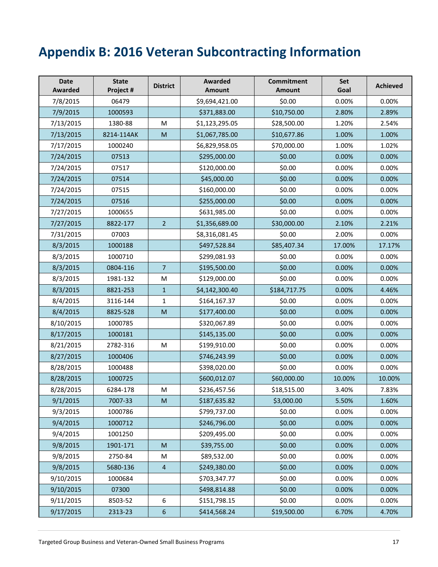# <span id="page-18-0"></span>**Appendix B: 2016 Veteran Subcontracting Information**

| <b>Date</b><br>Awarded | <b>State</b><br>Project # | <b>District</b> | <b>Awarded</b><br><b>Amount</b> | <b>Commitment</b><br><b>Amount</b> | Set<br>Goal | <b>Achieved</b> |
|------------------------|---------------------------|-----------------|---------------------------------|------------------------------------|-------------|-----------------|
| 7/8/2015               | 06479                     |                 | \$9,694,421.00                  | \$0.00                             | 0.00%       | 0.00%           |
| 7/9/2015               | 1000593                   |                 | \$371,883.00                    | \$10,750.00                        | 2.80%       | 2.89%           |
| 7/13/2015              | 1380-88                   | M               | \$1,123,295.05                  | \$28,500.00                        | 1.20%       | 2.54%           |
| 7/13/2015              | 8214-114AK                | M               | \$1,067,785.00                  | \$10,677.86                        | 1.00%       | 1.00%           |
| 7/17/2015              | 1000240                   |                 | \$6,829,958.05                  | \$70,000.00                        | 1.00%       | 1.02%           |
| 7/24/2015              | 07513                     |                 | \$295,000.00                    | \$0.00                             | 0.00%       | 0.00%           |
| 7/24/2015              | 07517                     |                 | \$120,000.00                    | \$0.00                             | 0.00%       | 0.00%           |
| 7/24/2015              | 07514                     |                 | \$45,000.00                     | \$0.00                             | 0.00%       | 0.00%           |
| 7/24/2015              | 07515                     |                 | \$160,000.00                    | \$0.00                             | 0.00%       | 0.00%           |
| 7/24/2015              | 07516                     |                 | \$255,000.00                    | \$0.00                             | 0.00%       | 0.00%           |
| 7/27/2015              | 1000655                   |                 | \$631,985.00                    | \$0.00                             | 0.00%       | 0.00%           |
| 7/27/2015              | 8822-177                  | 2 <sup>2</sup>  | \$1,356,689.00                  | \$30,000.00                        | 2.10%       | 2.21%           |
| 7/31/2015              | 07003                     |                 | \$8,316,081.45                  | \$0.00                             | 2.00%       | 0.00%           |
| 8/3/2015               | 1000188                   |                 | \$497,528.84                    | \$85,407.34                        | 17.00%      | 17.17%          |
| 8/3/2015               | 1000710                   |                 | \$299,081.93                    | \$0.00                             | 0.00%       | 0.00%           |
| 8/3/2015               | 0804-116                  | $\overline{7}$  | \$195,500.00                    | \$0.00                             | 0.00%       | 0.00%           |
| 8/3/2015               | 1981-132                  | M               | \$129,000.00                    | \$0.00                             | 0.00%       | 0.00%           |
| 8/3/2015               | 8821-253                  | $\mathbf{1}$    | \$4,142,300.40                  | \$184,717.75                       | 0.00%       | 4.46%           |
| 8/4/2015               | 3116-144                  | $\mathbf{1}$    | \$164,167.37                    | \$0.00                             | 0.00%       | 0.00%           |
| 8/4/2015               | 8825-528                  | M               | \$177,400.00                    | \$0.00                             | 0.00%       | 0.00%           |
| 8/10/2015              | 1000785                   |                 | \$320,067.89                    | \$0.00                             | 0.00%       | 0.00%           |
| 8/17/2015              | 1000181                   |                 | \$145,135.00                    | \$0.00                             | 0.00%       | 0.00%           |
| 8/21/2015              | 2782-316                  | M               | \$199,910.00                    | \$0.00                             | 0.00%       | 0.00%           |
| 8/27/2015              | 1000406                   |                 | \$746,243.99                    | \$0.00                             | 0.00%       | 0.00%           |
| 8/28/2015              | 1000488                   |                 | \$398,020.00                    | \$0.00                             | 0.00%       | 0.00%           |
| 8/28/2015              | 1000725                   |                 | \$600,012.07                    | \$60,000.00                        | 10.00%      | 10.00%          |
| 8/28/2015              | 6284-178                  | M               | \$236,457.56                    | \$18,515.00                        | 3.40%       | 7.83%           |
| 9/1/2015               | 7007-33                   | ${\sf M}$       | \$187,635.82                    | \$3,000.00                         | 5.50%       | 1.60%           |
| 9/3/2015               | 1000786                   |                 | \$799,737.00                    | \$0.00                             | 0.00%       | 0.00%           |
| 9/4/2015               | 1000712                   |                 | \$246,796.00                    | \$0.00                             | 0.00%       | 0.00%           |
| 9/4/2015               | 1001250                   |                 | \$209,495.00                    | \$0.00                             | 0.00%       | 0.00%           |
| 9/8/2015               | 1901-171                  | M               | \$39,755.00                     | \$0.00                             | 0.00%       | 0.00%           |
| 9/8/2015               | 2750-84                   | M               | \$89,532.00                     | \$0.00                             | 0.00%       | 0.00%           |
| 9/8/2015               | 5680-136                  | $\overline{a}$  | \$249,380.00                    | \$0.00                             | 0.00%       | 0.00%           |
| 9/10/2015              | 1000684                   |                 | \$703,347.77                    | \$0.00                             | 0.00%       | 0.00%           |
| 9/10/2015              | 07300                     |                 | \$498,814.88                    | \$0.00                             | 0.00%       | 0.00%           |
| 9/11/2015              | 8503-52                   | 6               | \$151,798.15                    | \$0.00                             | 0.00%       | 0.00%           |
| 9/17/2015              | 2313-23                   | $\sqrt{6}$      | \$414,568.24                    | \$19,500.00                        | 6.70%       | 4.70%           |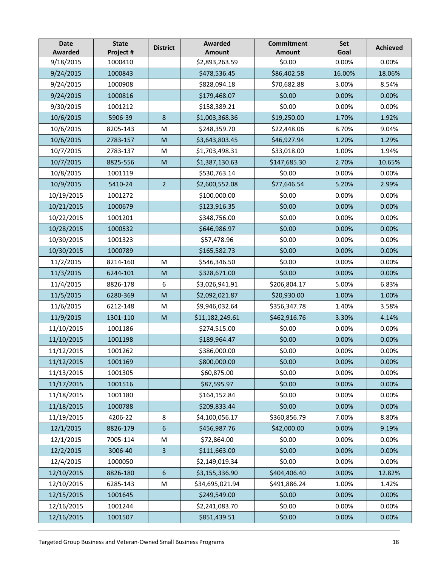| <b>Date</b><br><b>Awarded</b> | <b>State</b><br>Project # | <b>District</b> | <b>Awarded</b><br>Amount | <b>Commitment</b><br><b>Amount</b> | Set<br>Goal | <b>Achieved</b> |
|-------------------------------|---------------------------|-----------------|--------------------------|------------------------------------|-------------|-----------------|
| 9/18/2015                     | 1000410                   |                 | \$2,893,263.59           | \$0.00                             | 0.00%       | 0.00%           |
| 9/24/2015                     | 1000843                   |                 | \$478,536.45             | \$86,402.58                        | 16.00%      | 18.06%          |
| 9/24/2015                     | 1000908                   |                 | \$828,094.18             | \$70,682.88                        | 3.00%       | 8.54%           |
| 9/24/2015                     | 1000816                   |                 | \$179,468.07             | \$0.00                             | 0.00%       | 0.00%           |
| 9/30/2015                     | 1001212                   |                 | \$158,389.21             | \$0.00                             | 0.00%       | 0.00%           |
| 10/6/2015                     | 5906-39                   | 8               | \$1,003,368.36           | \$19,250.00                        | 1.70%       | 1.92%           |
| 10/6/2015                     | 8205-143                  | M               | \$248,359.70             | \$22,448.06                        | 8.70%       | 9.04%           |
| 10/6/2015                     | 2783-157                  | M               | \$3,643,803.45           | \$46,927.94                        | 1.20%       | 1.29%           |
| 10/7/2015                     | 2783-137                  | M               | \$1,703,498.31           | \$33,018.00                        | 1.00%       | 1.94%           |
| 10/7/2015                     | 8825-556                  | M               | \$1,387,130.63           | \$147,685.30                       | 2.70%       | 10.65%          |
| 10/8/2015                     | 1001119                   |                 | \$530,763.14             | \$0.00                             | 0.00%       | 0.00%           |
| 10/9/2015                     | 5410-24                   | $\overline{2}$  | \$2,600,552.08           | \$77,646.54                        | 5.20%       | 2.99%           |
| 10/19/2015                    | 1001272                   |                 | \$100,000.00             | \$0.00                             | 0.00%       | 0.00%           |
| 10/21/2015                    | 1000679                   |                 | \$123,916.35             | \$0.00                             | 0.00%       | 0.00%           |
| 10/22/2015                    | 1001201                   |                 | \$348,756.00             | \$0.00                             | 0.00%       | 0.00%           |
| 10/28/2015                    | 1000532                   |                 | \$646,986.97             | \$0.00                             | 0.00%       | 0.00%           |
| 10/30/2015                    | 1001323                   |                 | \$57,478.96              | \$0.00                             | 0.00%       | 0.00%           |
| 10/30/2015                    | 1000789                   |                 | \$165,582.73             | \$0.00                             | 0.00%       | 0.00%           |
| 11/2/2015                     | 8214-160                  | M               | \$546,346.50             | \$0.00                             | 0.00%       | 0.00%           |
| 11/3/2015                     | 6244-101                  | M               | \$328,671.00             | \$0.00                             | 0.00%       | 0.00%           |
| 11/4/2015                     | 8826-178                  | 6               | \$3,026,941.91           | \$206,804.17                       | 5.00%       | 6.83%           |
| 11/5/2015                     | 6280-369                  | M               | \$2,092,021.87           | \$20,930.00                        | 1.00%       | 1.00%           |
| 11/6/2015                     | 6212-148                  | M               | \$9,946,032.64           | \$356,347.78                       | 1.40%       | 3.58%           |
| 11/9/2015                     | 1301-110                  | M               | \$11,182,249.61          | \$462,916.76                       | 3.30%       | 4.14%           |
| 11/10/2015                    | 1001186                   |                 | \$274,515.00             | \$0.00                             | 0.00%       | 0.00%           |
| 11/10/2015                    | 1001198                   |                 | \$189,964.47             | \$0.00                             | 0.00%       | 0.00%           |
| 11/12/2015                    | 1001262                   |                 | \$386,000.00             | \$0.00                             | 0.00%       | 0.00%           |
| 11/12/2015                    | 1001169                   |                 | \$800,000.00             | \$0.00                             | 0.00%       | 0.00%           |
| 11/13/2015                    | 1001305                   |                 | \$60,875.00              | \$0.00                             | 0.00%       | 0.00%           |
| 11/17/2015                    | 1001516                   |                 | \$87,595.97              | \$0.00                             | 0.00%       | 0.00%           |
| 11/18/2015                    | 1001180                   |                 | \$164,152.84             | \$0.00                             | 0.00%       | 0.00%           |
| 11/18/2015                    | 1000788                   |                 | \$209,833.44             | \$0.00                             | 0.00%       | 0.00%           |
| 11/19/2015                    | 4206-22                   | 8               | \$4,100,056.17           | \$360,856.79                       | 7.00%       | 8.80%           |
| 12/1/2015                     | 8826-179                  | 6               | \$456,987.76             | \$42,000.00                        | 0.00%       | 9.19%           |
| 12/1/2015                     | 7005-114                  | M               | \$72,864.00              | \$0.00                             | 0.00%       | 0.00%           |
| 12/2/2015                     | 3006-40                   | 3               | \$111,663.00             | \$0.00                             | 0.00%       | 0.00%           |
| 12/4/2015                     | 1000050                   |                 | \$2,149,019.34           | \$0.00                             | 0.00%       | 0.00%           |
| 12/10/2015                    | 8826-180                  | $6\,$           | \$3,155,336.90           | \$404,406.40                       | 0.00%       | 12.82%          |
| 12/10/2015                    | 6285-143                  | M               | \$34,695,021.94          | \$491,886.24                       | 1.00%       | 1.42%           |
| 12/15/2015                    | 1001645                   |                 | \$249,549.00             | \$0.00                             | 0.00%       | 0.00%           |
| 12/16/2015                    | 1001244                   |                 | \$2,241,083.70           | \$0.00                             | 0.00%       | 0.00%           |
| 12/16/2015                    | 1001507                   |                 | \$851,439.51             | \$0.00                             | 0.00%       | 0.00%           |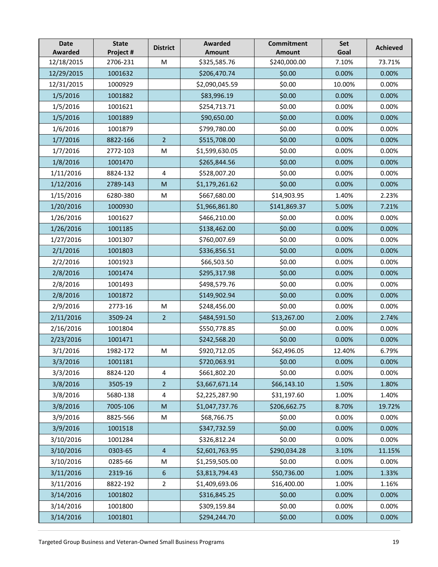| <b>Date</b><br><b>Awarded</b> | <b>State</b><br>Project # | <b>District</b>  | Awarded<br><b>Amount</b> | <b>Commitment</b><br><b>Amount</b> | Set<br>Goal | <b>Achieved</b> |
|-------------------------------|---------------------------|------------------|--------------------------|------------------------------------|-------------|-----------------|
| 12/18/2015                    | 2706-231                  | M                | \$325,585.76             | \$240,000.00                       | 7.10%       | 73.71%          |
| 12/29/2015                    | 1001632                   |                  | \$206,470.74             | \$0.00                             | 0.00%       | 0.00%           |
| 12/31/2015                    | 1000929                   |                  | \$2,090,045.59           | \$0.00                             | 10.00%      | 0.00%           |
| 1/5/2016                      | 1001882                   |                  | \$83,996.19              | \$0.00                             | 0.00%       | 0.00%           |
| 1/5/2016                      | 1001621                   |                  | \$254,713.71             | \$0.00                             | 0.00%       | 0.00%           |
| 1/5/2016                      | 1001889                   |                  | \$90,650.00              | \$0.00                             | 0.00%       | 0.00%           |
| 1/6/2016                      | 1001879                   |                  | \$799,780.00             | \$0.00                             | 0.00%       | 0.00%           |
| 1/7/2016                      | 8822-166                  | $\overline{2}$   | \$515,708.00             | \$0.00                             | 0.00%       | 0.00%           |
| 1/7/2016                      | 2772-103                  | ${\sf M}$        | \$1,599,630.05           | \$0.00                             | 0.00%       | 0.00%           |
| 1/8/2016                      | 1001470                   |                  | \$265,844.56             | \$0.00                             | 0.00%       | 0.00%           |
| 1/11/2016                     | 8824-132                  | $\overline{4}$   | \$528,007.20             | \$0.00                             | 0.00%       | 0.00%           |
| 1/12/2016                     | 2789-143                  | M                | \$1,179,261.62           | \$0.00                             | 0.00%       | 0.00%           |
| 1/15/2016                     | 6280-380                  | M                | \$667,680.00             | \$14,903.95                        | 1.40%       | 2.23%           |
| 1/20/2016                     | 1000930                   |                  | \$1,966,861.80           | \$141,869.37                       | 5.00%       | 7.21%           |
| 1/26/2016                     | 1001627                   |                  | \$466,210.00             | \$0.00                             | 0.00%       | 0.00%           |
| 1/26/2016                     | 1001185                   |                  | \$138,462.00             | \$0.00                             | 0.00%       | 0.00%           |
| 1/27/2016                     | 1001307                   |                  | \$760,007.69             | \$0.00                             | 0.00%       | 0.00%           |
| 2/1/2016                      | 1001803                   |                  | \$336,856.51             | \$0.00                             | 0.00%       | 0.00%           |
| 2/2/2016                      | 1001923                   |                  | \$66,503.50              | \$0.00                             | 0.00%       | 0.00%           |
| 2/8/2016                      | 1001474                   |                  | \$295,317.98             | \$0.00                             | 0.00%       | 0.00%           |
| 2/8/2016                      | 1001493                   |                  | \$498,579.76             | \$0.00                             | 0.00%       | 0.00%           |
| 2/8/2016                      | 1001872                   |                  | \$149,902.94             | \$0.00                             | 0.00%       | 0.00%           |
| 2/9/2016                      | 2773-16                   | M                | \$248,456.00             | \$0.00                             | 0.00%       | 0.00%           |
| 2/11/2016                     | 3509-24                   | $\overline{2}$   | \$484,591.50             | \$13,267.00                        | 2.00%       | 2.74%           |
| 2/16/2016                     | 1001804                   |                  | \$550,778.85             | \$0.00                             | 0.00%       | 0.00%           |
| 2/23/2016                     | 1001471                   |                  | \$242,568.20             | \$0.00                             | 0.00%       | 0.00%           |
| 3/1/2016                      | 1982-172                  | M                | \$920,712.05             | \$62,496.05                        | 12.40%      | 6.79%           |
| 3/3/2016                      | 1001181                   |                  | \$720,063.91             | \$0.00                             | 0.00%       | 0.00%           |
| 3/3/2016                      | 8824-120                  | 4                | \$661,802.20             | \$0.00                             | 0.00%       | 0.00%           |
| 3/8/2016                      | 3505-19                   | $\overline{2}$   | \$3,667,671.14           | \$66,143.10                        | 1.50%       | 1.80%           |
| 3/8/2016                      | 5680-138                  | $\overline{4}$   | \$2,225,287.90           | \$31,197.60                        | 1.00%       | 1.40%           |
| 3/8/2016                      | 7005-106                  | ${\sf M}$        | \$1,047,737.76           | \$206,662.75                       | 8.70%       | 19.72%          |
| 3/9/2016                      | 8825-566                  | M                | \$68,766.75              | \$0.00                             | 0.00%       | 0.00%           |
| 3/9/2016                      | 1001518                   |                  | \$347,732.59             | \$0.00                             | 0.00%       | 0.00%           |
| 3/10/2016                     | 1001284                   |                  | \$326,812.24             | \$0.00                             | 0.00%       | 0.00%           |
| 3/10/2016                     | 0303-65                   | $\overline{4}$   | \$2,601,763.95           | \$290,034.28                       | 3.10%       | 11.15%          |
| 3/10/2016                     | 0285-66                   | M                | \$1,259,505.00           | \$0.00                             | 0.00%       | 0.00%           |
| 3/11/2016                     | 2319-16                   | $\boldsymbol{6}$ | \$3,813,794.43           | \$50,736.00                        | 1.00%       | 1.33%           |
| 3/11/2016                     | 8822-192                  | $\overline{2}$   | \$1,409,693.06           | \$16,400.00                        | 1.00%       | 1.16%           |
| 3/14/2016                     | 1001802                   |                  | \$316,845.25             | \$0.00                             | 0.00%       | 0.00%           |
| 3/14/2016                     | 1001800                   |                  | \$309,159.84             | \$0.00                             | 0.00%       | 0.00%           |
| 3/14/2016                     | 1001801                   |                  | \$294,244.70             | \$0.00                             | 0.00%       | 0.00%           |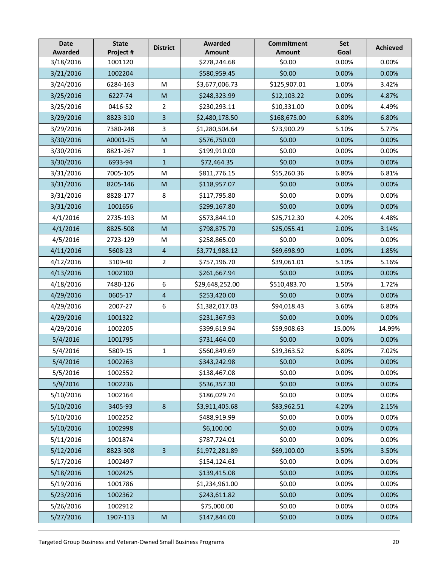| <b>Date</b><br>Awarded | <b>State</b><br>Project # | <b>District</b> | <b>Awarded</b><br><b>Amount</b> | <b>Commitment</b><br><b>Amount</b> | Set<br>Goal | <b>Achieved</b> |
|------------------------|---------------------------|-----------------|---------------------------------|------------------------------------|-------------|-----------------|
| 3/18/2016              | 1001120                   |                 | \$278,244.68                    | \$0.00                             | 0.00%       | 0.00%           |
| 3/21/2016              | 1002204                   |                 | \$580,959.45                    | \$0.00                             | 0.00%       | 0.00%           |
| 3/24/2016              | 6284-163                  | M               | \$3,677,006.73                  | \$125,907.01                       | 1.00%       | 3.42%           |
| 3/25/2016              | 6227-74                   | M               | \$248,323.99                    | \$12,103.22                        | 0.00%       | 4.87%           |
| 3/25/2016              | 0416-52                   | 2               | \$230,293.11                    | \$10,331.00                        | 0.00%       | 4.49%           |
| 3/29/2016              | 8823-310                  | 3               | \$2,480,178.50                  | \$168,675.00                       | 6.80%       | 6.80%           |
| 3/29/2016              | 7380-248                  | 3               | \$1,280,504.64                  | \$73,900.29                        | 5.10%       | 5.77%           |
| 3/30/2016              | A0001-25                  | $\mathsf{M}$    | \$576,750.00                    | \$0.00                             | 0.00%       | 0.00%           |
| 3/30/2016              | 8821-267                  | $\mathbf{1}$    | \$199,910.00                    | \$0.00                             | 0.00%       | 0.00%           |
| 3/30/2016              | 6933-94                   | $\mathbf{1}$    | \$72,464.35                     | \$0.00                             | 0.00%       | 0.00%           |
| 3/31/2016              | 7005-105                  | M               | \$811,776.15                    | \$55,260.36                        | 6.80%       | 6.81%           |
| 3/31/2016              | 8205-146                  | M               | \$118,957.07                    | \$0.00                             | 0.00%       | 0.00%           |
| 3/31/2016              | 8828-177                  | 8               | \$117,795.80                    | \$0.00                             | 0.00%       | 0.00%           |
| 3/31/2016              | 1001656                   |                 | \$299,167.80                    | \$0.00                             | 0.00%       | 0.00%           |
| 4/1/2016               | 2735-193                  | M               | \$573,844.10                    | \$25,712.30                        | 4.20%       | 4.48%           |
| 4/1/2016               | 8825-508                  | M               | \$798,875.70                    | \$25,055.41                        | 2.00%       | 3.14%           |
| 4/5/2016               | 2723-129                  | M               | \$258,865.00                    | \$0.00                             | 0.00%       | 0.00%           |
| 4/11/2016              | 5608-23                   | $\overline{4}$  | \$3,771,988.12                  | \$69,698.90                        | 1.00%       | 1.85%           |
| 4/12/2016              | 3109-40                   | $\overline{2}$  | \$757,196.70                    | \$39,061.01                        | 5.10%       | 5.16%           |
| 4/13/2016              | 1002100                   |                 | \$261,667.94                    | \$0.00                             | 0.00%       | 0.00%           |
| 4/18/2016              | 7480-126                  | 6               | \$29,648,252.00                 | \$510,483.70                       | 1.50%       | 1.72%           |
| 4/29/2016              | 0605-17                   | $\overline{4}$  | \$253,420.00                    | \$0.00                             | 0.00%       | 0.00%           |
| 4/29/2016              | 2007-27                   | 6               | \$1,382,017.03                  | \$94,018.43                        | 3.60%       | 6.80%           |
| 4/29/2016              | 1001322                   |                 | \$231,367.93                    | \$0.00                             | 0.00%       | 0.00%           |
| 4/29/2016              | 1002205                   |                 | \$399,619.94                    | \$59,908.63                        | 15.00%      | 14.99%          |
| 5/4/2016               | 1001795                   |                 | \$731,464.00                    | \$0.00                             | 0.00%       | 0.00%           |
| 5/4/2016               | 5809-15                   | $\mathbf 1$     | \$560,849.69                    | \$39,363.52                        | 6.80%       | 7.02%           |
| 5/4/2016               | 1002263                   |                 | \$343,242.98                    | \$0.00                             | 0.00%       | 0.00%           |
| 5/5/2016               | 1002552                   |                 | \$138,467.08                    | \$0.00                             | 0.00%       | 0.00%           |
| 5/9/2016               | 1002236                   |                 | \$536,357.30                    | \$0.00                             | 0.00%       | 0.00%           |
| 5/10/2016              | 1002164                   |                 | \$186,029.74                    | \$0.00                             | 0.00%       | 0.00%           |
| 5/10/2016              | 3405-93                   | $\,8\,$         | \$3,911,405.68                  | \$83,962.51                        | 4.20%       | 2.15%           |
| 5/10/2016              | 1002252                   |                 | \$488,919.99                    | \$0.00                             | 0.00%       | 0.00%           |
| 5/10/2016              | 1002998                   |                 | \$6,100.00                      | \$0.00                             | 0.00%       | 0.00%           |
| 5/11/2016              | 1001874                   |                 | \$787,724.01                    | \$0.00                             | 0.00%       | 0.00%           |
| 5/12/2016              | 8823-308                  | $\overline{3}$  | \$1,972,281.89                  | \$69,100.00                        | 3.50%       | 3.50%           |
| 5/17/2016              | 1002497                   |                 | \$154,124.61                    | \$0.00                             | 0.00%       | 0.00%           |
| 5/18/2016              | 1002425                   |                 | \$139,415.08                    | \$0.00                             | 0.00%       | 0.00%           |
| 5/19/2016              | 1001786                   |                 | \$1,234,961.00                  | \$0.00                             | 0.00%       | 0.00%           |
| 5/23/2016              | 1002362                   |                 | \$243,611.82                    | \$0.00                             | 0.00%       | 0.00%           |
| 5/26/2016              | 1002912                   |                 | \$75,000.00                     | \$0.00                             | 0.00%       | 0.00%           |
| 5/27/2016              | 1907-113                  | M               | \$147,844.00                    | \$0.00                             | 0.00%       | 0.00%           |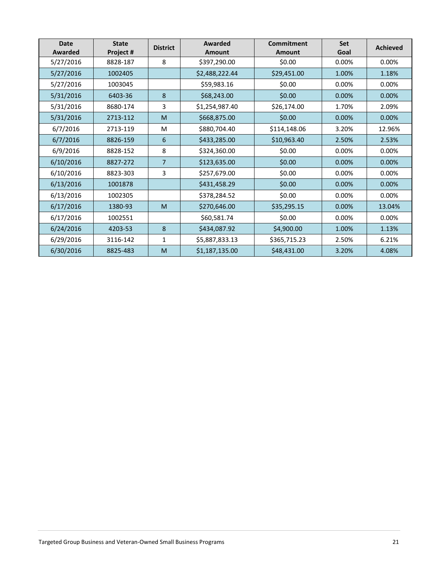| <b>Date</b><br>Awarded | <b>State</b><br>Project # | <b>District</b> | Awarded<br><b>Amount</b> | Commitment<br><b>Amount</b> | <b>Set</b><br>Goal | <b>Achieved</b> |
|------------------------|---------------------------|-----------------|--------------------------|-----------------------------|--------------------|-----------------|
| 5/27/2016              | 8828-187                  | 8               | \$397,290.00             | \$0.00                      | 0.00%              | 0.00%           |
| 5/27/2016              | 1002405                   |                 | \$2,488,222.44           | \$29,451.00                 | 1.00%              | 1.18%           |
| 5/27/2016              | 1003045                   |                 | \$59,983.16              | \$0.00                      | 0.00%              | 0.00%           |
| 5/31/2016              | 6403-36                   | 8               | \$68,243.00              | \$0.00                      | 0.00%              | 0.00%           |
| 5/31/2016              | 8680-174                  | 3               | \$1,254,987.40           | \$26,174.00                 | 1.70%              | 2.09%           |
| 5/31/2016              | 2713-112                  | M               | \$668,875.00             | \$0.00                      | 0.00%              | 0.00%           |
| 6/7/2016               | 2713-119                  | M               | \$880,704.40             | \$114,148.06                | 3.20%              | 12.96%          |
| 6/7/2016               | 8826-159                  | 6               | \$433,285.00             | \$10,963.40                 | 2.50%              | 2.53%           |
| 6/9/2016               | 8828-152                  | 8               | \$324,360.00             | \$0.00                      | 0.00%              | 0.00%           |
| 6/10/2016              | 8827-272                  | $\overline{7}$  | \$123,635.00             | \$0.00                      | 0.00%              | 0.00%           |
| 6/10/2016              | 8823-303                  | 3               | \$257,679.00             | \$0.00                      | 0.00%              | 0.00%           |
| 6/13/2016              | 1001878                   |                 | \$431,458.29             | \$0.00                      | 0.00%              | 0.00%           |
| 6/13/2016              | 1002305                   |                 | \$378,284.52             | \$0.00                      | 0.00%              | 0.00%           |
| 6/17/2016              | 1380-93                   | M               | \$270,646.00             | \$35,295.15                 | 0.00%              | 13.04%          |
| 6/17/2016              | 1002551                   |                 | \$60,581.74              | \$0.00                      | 0.00%              | 0.00%           |
| 6/24/2016              | 4203-53                   | 8               | \$434,087.92             | \$4,900.00                  | 1.00%              | 1.13%           |
| 6/29/2016              | 3116-142                  | 1               | \$5,887,833.13           | \$365,715.23                | 2.50%              | 6.21%           |
| 6/30/2016              | 8825-483                  | M               | \$1,187,135.00           | \$48,431.00                 | 3.20%              | 4.08%           |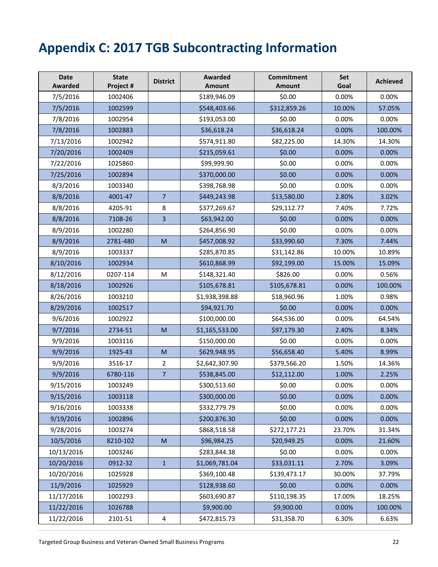# <span id="page-23-0"></span>**Appendix C: 2017 TGB Subcontracting Information**

| <b>Date</b><br>Awarded | <b>State</b><br>Project # | <b>District</b>         | Awarded<br><b>Amount</b> | <b>Commitment</b><br><b>Amount</b> | <b>Set</b><br>Goal | <b>Achieved</b> |
|------------------------|---------------------------|-------------------------|--------------------------|------------------------------------|--------------------|-----------------|
| 7/5/2016               | 1002406                   |                         | \$189,946.09             | \$0.00                             | 0.00%              | 0.00%           |
| 7/5/2016               | 1002599                   |                         | \$548,403.66             | \$312,859.26                       | 10.00%             | 57.05%          |
| 7/8/2016               | 1002954                   |                         | \$193,053.00             | \$0.00                             | 0.00%              | 0.00%           |
| 7/8/2016               | 1002883                   |                         | \$36,618.24              | \$36,618.24                        | 0.00%              | 100.00%         |
| 7/13/2016              | 1002942                   |                         | \$574,911.80             | \$82,225.00                        | 14.30%             | 14.30%          |
| 7/20/2016              | 1002409                   |                         | \$215,059.61             | \$0.00                             | 0.00%              | 0.00%           |
| 7/22/2016              | 1025860                   |                         | \$99,999.90              | \$0.00                             | 0.00%              | 0.00%           |
| 7/25/2016              | 1002894                   |                         | \$370,000.00             | \$0.00                             | 0.00%              | 0.00%           |
| 8/3/2016               | 1003340                   |                         | \$398,768.98             | \$0.00                             | 0.00%              | 0.00%           |
| 8/8/2016               | 4001-47                   | $\overline{7}$          | \$449,243.98             | \$13,580.00                        | 2.80%              | 3.02%           |
| 8/8/2016               | 4205-91                   | 8                       | \$377,269.67             | \$29,112.77                        | 7.40%              | 7.72%           |
| 8/8/2016               | 7108-26                   | $\overline{\mathbf{3}}$ | \$63,942.00              | \$0.00                             | 0.00%              | 0.00%           |
| 8/9/2016               | 1002280                   |                         | \$264,856.90             | \$0.00                             | 0.00%              | 0.00%           |
| 8/9/2016               | 2781-480                  | M                       | \$457,008.92             | \$33,990.60                        | 7.30%              | 7.44%           |
| 8/9/2016               | 1003337                   |                         | \$285,870.85             | \$31,142.86                        | 10.00%             | 10.89%          |
| 8/10/2016              | 1002934                   |                         | \$610,868.99             | \$92,199.00                        | 15.00%             | 15.09%          |
| 8/12/2016              | 0207-114                  | M                       | \$148,321.40             | \$826.00                           | 0.00%              | 0.56%           |
| 8/18/2016              | 1002926                   |                         | \$105,678.81             | \$105,678.81                       | 0.00%              | 100.00%         |
| 8/26/2016              | 1003210                   |                         | \$1,938,398.88           | \$18,960.96                        | 1.00%              | 0.98%           |
| 8/29/2016              | 1002517                   |                         | \$94,921.70              | \$0.00                             | 0.00%              | 0.00%           |
| 9/6/2016               | 1002922                   |                         | \$100,000.00             | \$64,536.00                        | 0.00%              | 64.54%          |
| 9/7/2016               | 2734-51                   | M                       | \$1,165,533.00           | \$97,179.30                        | 2.40%              | 8.34%           |
| 9/9/2016               | 1003116                   |                         | \$150,000.00             | \$0.00                             | 0.00%              | 0.00%           |
| 9/9/2016               | 1925-43                   | M                       | \$629,948.95             | \$56,658.40                        | 5.40%              | 8.99%           |
| 9/9/2016               | 3516-17                   | $\overline{2}$          | \$2,642,307.90           | \$379,566.20                       | 1.50%              | 14.36%          |
| 9/9/2016               | 6780-116                  | $\overline{7}$          | \$538,845.00             | \$12,112.00                        | 1.00%              | 2.25%           |
| 9/15/2016              | 1003249                   |                         | \$300,513.60             | \$0.00                             | 0.00%              | 0.00%           |
| 9/15/2016              | 1003118                   |                         | \$300,000.00             | \$0.00                             | 0.00%              | 0.00%           |
| 9/16/2016              | 1003338                   |                         | \$332,779.79             | \$0.00                             | 0.00%              | 0.00%           |
| 9/19/2016              | 1002896                   |                         | \$200,876.30             | \$0.00                             | 0.00%              | 0.00%           |
| 9/28/2016              | 1003274                   |                         | \$868,518.58             | \$272,177.21                       | 23.70%             | 31.34%          |
| 10/5/2016              | 8210-102                  | M                       | \$96,984.25              | \$20,949.25                        | 0.00%              | 21.60%          |
| 10/13/2016             | 1003246                   |                         | \$283,844.38             | \$0.00                             | 0.00%              | 0.00%           |
| 10/20/2016             | 0912-32                   | $\mathbf{1}$            | \$1,069,781.04           | \$33,031.11                        | 2.70%              | 3.09%           |
| 10/20/2016             | 1025928                   |                         | \$369,100.48             | \$139,473.17                       | 30.00%             | 37.79%          |
| 11/9/2016              | 1025929                   |                         | \$128,938.60             | \$0.00                             | 0.00%              | 0.00%           |
| 11/17/2016             | 1002293                   |                         | \$603,690.87             | \$110,198.35                       | 17.00%             | 18.25%          |
| 11/22/2016             | 1026788                   |                         | \$9,900.00               | \$9,900.00                         | 0.00%              | 100.00%         |
| 11/22/2016             | 2101-51                   | $\sqrt{4}$              | \$472,815.73             | \$31,358.70                        | 6.30%              | 6.63%           |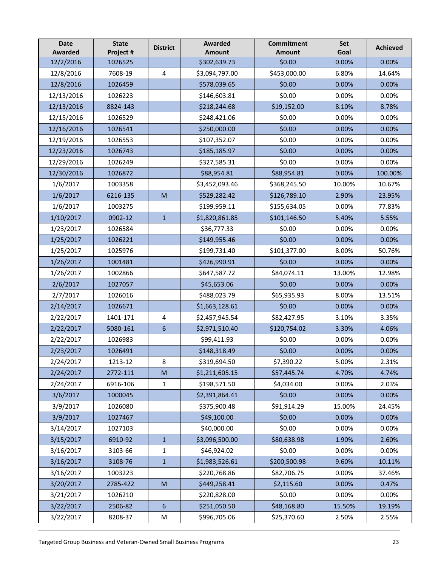| <b>Date</b><br>Awarded | <b>State</b><br>Project # | <b>District</b>                                                                                            | <b>Awarded</b><br><b>Amount</b> | <b>Commitment</b><br><b>Amount</b> | Set<br>Goal | <b>Achieved</b> |
|------------------------|---------------------------|------------------------------------------------------------------------------------------------------------|---------------------------------|------------------------------------|-------------|-----------------|
| 12/2/2016              | 1026525                   |                                                                                                            | \$302,639.73                    | \$0.00                             | 0.00%       | 0.00%           |
| 12/8/2016              | 7608-19                   | $\overline{4}$                                                                                             | \$3,094,797.00                  | \$453,000.00                       | 6.80%       | 14.64%          |
| 12/8/2016              | 1026459                   |                                                                                                            | \$578,039.65                    | \$0.00                             | 0.00%       | 0.00%           |
| 12/13/2016             | 1026223                   |                                                                                                            | \$146,603.81                    | \$0.00                             | 0.00%       | 0.00%           |
| 12/13/2016             | 8824-143                  |                                                                                                            | \$218,244.68                    | \$19,152.00                        | 8.10%       | 8.78%           |
| 12/15/2016             | 1026529                   |                                                                                                            | \$248,421.06                    | \$0.00                             | 0.00%       | 0.00%           |
| 12/16/2016             | 1026541                   |                                                                                                            | \$250,000.00                    | \$0.00                             | 0.00%       | 0.00%           |
| 12/19/2016             | 1026553                   |                                                                                                            | \$107,352.07                    | \$0.00                             | 0.00%       | 0.00%           |
| 12/23/2016             | 1026743                   |                                                                                                            | \$185,185.97                    | \$0.00                             | 0.00%       | 0.00%           |
| 12/29/2016             | 1026249                   |                                                                                                            | \$327,585.31                    | \$0.00                             | 0.00%       | 0.00%           |
| 12/30/2016             | 1026872                   |                                                                                                            | \$88,954.81                     | \$88,954.81                        | 0.00%       | 100.00%         |
| 1/6/2017               | 1003358                   |                                                                                                            | \$3,452,093.46                  | \$368,245.50                       | 10.00%      | 10.67%          |
| 1/6/2017               | 6216-135                  | M                                                                                                          | \$529,282.42                    | \$126,789.10                       | 2.90%       | 23.95%          |
| 1/6/2017               | 1003275                   |                                                                                                            | \$199,959.11                    | \$155,634.05                       | 0.00%       | 77.83%          |
| 1/10/2017              | 0902-12                   | $\mathbf{1}$                                                                                               | \$1,820,861.85                  | \$101,146.50                       | 5.40%       | 5.55%           |
| 1/23/2017              | 1026584                   |                                                                                                            | \$36,777.33                     | \$0.00                             | 0.00%       | 0.00%           |
| 1/25/2017              | 1026221                   |                                                                                                            | \$149,955.46                    | \$0.00                             | 0.00%       | 0.00%           |
| 1/25/2017              | 1025976                   |                                                                                                            | \$199,731.40                    | \$101,377.00                       | 8.00%       | 50.76%          |
| 1/26/2017              | 1001481                   |                                                                                                            | \$426,990.91                    | \$0.00                             | 0.00%       | 0.00%           |
| 1/26/2017              | 1002866                   |                                                                                                            | \$647,587.72                    | \$84,074.11                        | 13.00%      | 12.98%          |
| 2/6/2017               | 1027057                   |                                                                                                            | \$45,653.06                     | \$0.00                             | 0.00%       | 0.00%           |
| 2/7/2017               | 1026016                   |                                                                                                            | \$488,023.79                    | \$65,935.93                        | 8.00%       | 13.51%          |
| 2/14/2017              | 1026671                   |                                                                                                            | \$1,663,128.61                  | \$0.00                             | 0.00%       | 0.00%           |
| 2/22/2017              | 1401-171                  | 4                                                                                                          | \$2,457,945.54                  | \$82,427.95                        | 3.10%       | 3.35%           |
| 2/22/2017              | 5080-161                  | 6                                                                                                          | \$2,971,510.40                  | \$120,754.02                       | 3.30%       | 4.06%           |
| 2/22/2017              | 1026983                   |                                                                                                            | \$99,411.93                     | \$0.00                             | 0.00%       | 0.00%           |
| 2/23/2017              | 1026491                   |                                                                                                            | \$148,318.49                    | \$0.00                             | 0.00%       | 0.00%           |
| 2/24/2017              | 1213-12                   | 8                                                                                                          | \$319,694.50                    | \$7,390.22                         | 5.00%       | 2.31%           |
| 2/24/2017              | 2772-111                  | M                                                                                                          | \$1,211,605.15                  | \$57,445.74                        | 4.70%       | 4.74%           |
| 2/24/2017              | 6916-106                  | $\mathbf{1}$                                                                                               | \$198,571.50                    | \$4,034.00                         | 0.00%       | 2.03%           |
| 3/6/2017               | 1000045                   |                                                                                                            | \$2,391,864.41                  | \$0.00                             | 0.00%       | 0.00%           |
| 3/9/2017               | 1026080                   |                                                                                                            | \$375,900.48                    | \$91,914.29                        | 15.00%      | 24.45%          |
| 3/9/2017               | 1027467                   |                                                                                                            | \$49,100.00                     | \$0.00                             | 0.00%       | 0.00%           |
| 3/14/2017              | 1027103                   |                                                                                                            | \$40,000.00                     | \$0.00                             | 0.00%       | 0.00%           |
| 3/15/2017              | 6910-92                   | $\mathbf{1}$                                                                                               | \$3,096,500.00                  | \$80,638.98                        | 1.90%       | 2.60%           |
| 3/16/2017              | 3103-66                   | 1                                                                                                          | \$46,924.02                     | \$0.00                             | 0.00%       | 0.00%           |
| 3/16/2017              | 3108-76                   | $\mathbf{1}$                                                                                               | \$1,983,526.61                  | \$200,500.98                       | 9.60%       | 10.11%          |
| 3/16/2017              | 1003223                   |                                                                                                            | \$220,768.86                    | \$82,706.75                        | 0.00%       | 37.46%          |
| 3/20/2017              | 2785-422                  | $\mathsf{M}% _{T}=\mathsf{M}_{T}\!\left( a,b\right) ,\ \mathsf{M}_{T}=\mathsf{M}_{T}\!\left( a,b\right) ,$ | \$449,258.41                    | \$2,115.60                         | 0.00%       | 0.47%           |
| 3/21/2017              | 1026210                   |                                                                                                            | \$220,828.00                    | \$0.00                             | 0.00%       | 0.00%           |
| 3/22/2017              | 2506-82                   | 6                                                                                                          | \$251,050.50                    | \$48,168.80                        | 15.50%      | 19.19%          |
| 3/22/2017              | 8208-37                   | М                                                                                                          | \$996,705.06                    | \$25,370.60                        | 2.50%       | 2.55%           |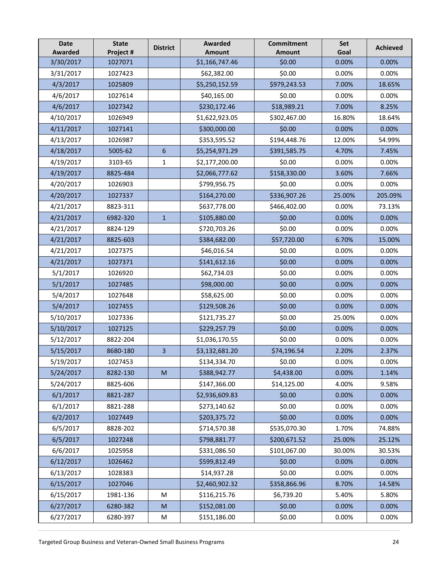| <b>Date</b><br><b>Awarded</b> | <b>State</b><br>Project # | <b>District</b>         | <b>Awarded</b><br><b>Amount</b> | <b>Commitment</b><br><b>Amount</b> | Set<br>Goal | <b>Achieved</b> |
|-------------------------------|---------------------------|-------------------------|---------------------------------|------------------------------------|-------------|-----------------|
| 3/30/2017                     | 1027071                   |                         | \$1,166,747.46                  | \$0.00                             | 0.00%       | 0.00%           |
| 3/31/2017                     | 1027423                   |                         | \$62,382.00                     | \$0.00                             | 0.00%       | 0.00%           |
| 4/3/2017                      | 1025809                   |                         | \$5,250,152.59                  | \$979,243.53                       | 7.00%       | 18.65%          |
| 4/6/2017                      | 1027614                   |                         | \$40,165.00                     | \$0.00                             | 0.00%       | 0.00%           |
| 4/6/2017                      | 1027342                   |                         | \$230,172.46                    | \$18,989.21                        | 7.00%       | 8.25%           |
| 4/10/2017                     | 1026949                   |                         | \$1,622,923.05                  | \$302,467.00                       | 16.80%      | 18.64%          |
| 4/11/2017                     | 1027141                   |                         | \$300,000.00                    | \$0.00                             | 0.00%       | 0.00%           |
| 4/13/2017                     | 1026987                   |                         | \$353,595.52                    | \$194,448.76                       | 12.00%      | 54.99%          |
| 4/18/2017                     | 5005-62                   | $6\phantom{1}$          | \$5,254,971.29                  | \$391,585.75                       | 4.70%       | 7.45%           |
| 4/19/2017                     | 3103-65                   | 1                       | \$2,177,200.00                  | \$0.00                             | 0.00%       | 0.00%           |
| 4/19/2017                     | 8825-484                  |                         | \$2,066,777.62                  | \$158,330.00                       | 3.60%       | 7.66%           |
| 4/20/2017                     | 1026903                   |                         | \$799,956.75                    | \$0.00                             | 0.00%       | 0.00%           |
| 4/20/2017                     | 1027337                   |                         | \$164,270.00                    | \$336,907.26                       | 25.00%      | 205.09%         |
| 4/21/2017                     | 8823-311                  |                         | \$637,778.00                    | \$466,402.00                       | 0.00%       | 73.13%          |
| 4/21/2017                     | 6982-320                  | $\mathbf{1}$            | \$105,880.00                    | \$0.00                             | 0.00%       | 0.00%           |
| 4/21/2017                     | 8824-129                  |                         | \$720,703.26                    | \$0.00                             | 0.00%       | 0.00%           |
| 4/21/2017                     | 8825-603                  |                         | \$384,682.00                    | \$57,720.00                        | 6.70%       | 15.00%          |
| 4/21/2017                     | 1027375                   |                         | \$46,016.54                     | \$0.00                             | 0.00%       | 0.00%           |
| 4/21/2017                     | 1027371                   |                         | \$141,612.16                    | \$0.00                             | 0.00%       | 0.00%           |
| 5/1/2017                      | 1026920                   |                         | \$62,734.03                     | \$0.00                             | 0.00%       | 0.00%           |
| 5/1/2017                      | 1027485                   |                         | \$98,000.00                     | \$0.00                             | 0.00%       | 0.00%           |
| 5/4/2017                      | 1027648                   |                         | \$58,625.00                     | \$0.00                             | 0.00%       | 0.00%           |
| 5/4/2017                      | 1027455                   |                         | \$129,508.26                    | \$0.00                             | 0.00%       | 0.00%           |
| 5/10/2017                     | 1027336                   |                         | \$121,735.27                    | \$0.00                             | 25.00%      | 0.00%           |
| 5/10/2017                     | 1027125                   |                         | \$229,257.79                    | \$0.00                             | 0.00%       | 0.00%           |
| 5/12/2017                     | 8822-204                  |                         | \$1,036,170.55                  | \$0.00                             | 0.00%       | 0.00%           |
| 5/15/2017                     | 8680-180                  | $\overline{\mathbf{3}}$ | \$3,132,681.20                  | \$74,196.54                        | 2.20%       | 2.37%           |
| 5/19/2017                     | 1027453                   |                         | \$134,334.70                    | \$0.00                             | 0.00%       | 0.00%           |
| 5/24/2017                     | 8282-130                  | M                       | \$388,942.77                    | \$4,438.00                         | 0.00%       | 1.14%           |
| 5/24/2017                     | 8825-606                  |                         | \$147,366.00                    | \$14,125.00                        | 4.00%       | 9.58%           |
| 6/1/2017                      | 8821-287                  |                         | \$2,936,609.83                  | \$0.00                             | 0.00%       | 0.00%           |
| 6/1/2017                      | 8821-288                  |                         | \$273,140.62                    | \$0.00                             | 0.00%       | 0.00%           |
| 6/2/2017                      | 1027449                   |                         | \$203,375.72                    | \$0.00                             | 0.00%       | 0.00%           |
| 6/5/2017                      | 8828-202                  |                         | \$714,570.38                    | \$535,070.30                       | 1.70%       | 74.88%          |
| 6/5/2017                      | 1027248                   |                         | \$798,881.77                    | \$200,671.52                       | 25.00%      | 25.12%          |
| 6/6/2017                      | 1025958                   |                         | \$331,086.50                    | \$101,067.00                       | 30.00%      | 30.53%          |
| 6/12/2017                     | 1026462                   |                         | \$599,812.49                    | \$0.00                             | 0.00%       | 0.00%           |
| 6/13/2017                     | 1028383                   |                         | \$14,937.28                     | \$0.00                             | 0.00%       | 0.00%           |
| 6/15/2017                     | 1027046                   |                         | \$2,460,902.32                  | \$358,866.96                       | 8.70%       | 14.58%          |
| 6/15/2017                     | 1981-136                  | M                       | \$116,215.76                    | \$6,739.20                         | 5.40%       | 5.80%           |
| 6/27/2017                     | 6280-382                  | M                       | \$152,081.00                    | \$0.00                             | 0.00%       | 0.00%           |
| 6/27/2017                     | 6280-397                  | M                       | \$151,186.00                    | \$0.00                             | 0.00%       | 0.00%           |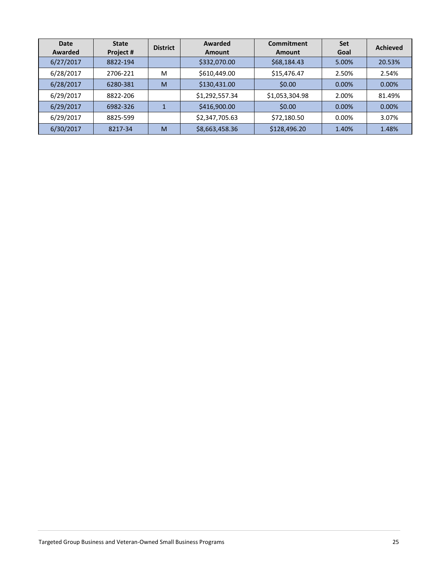| Date<br>Awarded | <b>State</b><br>Project # | <b>District</b> | Awarded<br>Amount | Commitment<br>Amount | <b>Set</b><br>Goal | <b>Achieved</b> |
|-----------------|---------------------------|-----------------|-------------------|----------------------|--------------------|-----------------|
| 6/27/2017       | 8822-194                  |                 | \$332,070.00      | \$68,184.43          | 5.00%              | 20.53%          |
| 6/28/2017       | 2706-221                  | M               | \$610,449.00      | \$15,476.47          | 2.50%              | 2.54%           |
| 6/28/2017       | 6280-381                  | M               | \$130,431.00      | \$0.00               | 0.00%              | 0.00%           |
| 6/29/2017       | 8822-206                  |                 | \$1,292,557.34    | \$1,053,304.98       | 2.00%              | 81.49%          |
| 6/29/2017       | 6982-326                  |                 | \$416,900.00      | \$0.00               | 0.00%              | 0.00%           |
| 6/29/2017       | 8825-599                  |                 | \$2,347,705.63    | \$72,180.50          | 0.00%              | 3.07%           |
| 6/30/2017       | 8217-34                   | M               | \$8,663,458.36    | \$128,496.20         | 1.40%              | 1.48%           |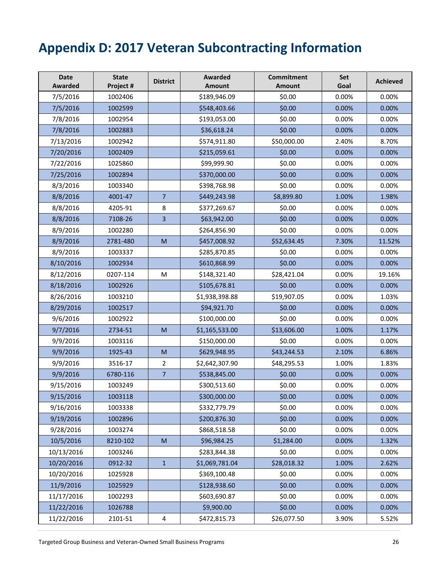# <span id="page-27-0"></span>**Appendix D: 2017 Veteran Subcontracting Information**

| <b>Date</b><br><b>Awarded</b> | <b>State</b><br>Project # | <b>District</b>                                                                                            | Awarded<br><b>Amount</b> | <b>Commitment</b><br><b>Amount</b> | Set<br>Goal | <b>Achieved</b> |
|-------------------------------|---------------------------|------------------------------------------------------------------------------------------------------------|--------------------------|------------------------------------|-------------|-----------------|
| 7/5/2016                      | 1002406                   |                                                                                                            | \$189,946.09             | \$0.00                             | 0.00%       | 0.00%           |
| 7/5/2016                      | 1002599                   |                                                                                                            | \$548,403.66             | \$0.00                             | 0.00%       | 0.00%           |
| 7/8/2016                      | 1002954                   |                                                                                                            | \$193,053.00             | \$0.00                             | 0.00%       | 0.00%           |
| 7/8/2016                      | 1002883                   |                                                                                                            | \$36,618.24              | \$0.00                             | 0.00%       | 0.00%           |
| 7/13/2016                     | 1002942                   |                                                                                                            | \$574,911.80             | \$50,000.00                        | 2.40%       | 8.70%           |
| 7/20/2016                     | 1002409                   |                                                                                                            | \$215,059.61             | \$0.00                             | 0.00%       | 0.00%           |
| 7/22/2016                     | 1025860                   |                                                                                                            | \$99,999.90              | \$0.00                             | 0.00%       | 0.00%           |
| 7/25/2016                     | 1002894                   |                                                                                                            | \$370,000.00             | \$0.00                             | 0.00%       | 0.00%           |
| 8/3/2016                      | 1003340                   |                                                                                                            | \$398,768.98             | \$0.00                             | 0.00%       | 0.00%           |
| 8/8/2016                      | 4001-47                   | $\overline{7}$                                                                                             | \$449,243.98             | \$8,899.80                         | 1.00%       | 1.98%           |
| 8/8/2016                      | 4205-91                   | 8                                                                                                          | \$377,269.67             | \$0.00                             | 0.00%       | 0.00%           |
| 8/8/2016                      | 7108-26                   | 3                                                                                                          | \$63,942.00              | \$0.00                             | 0.00%       | 0.00%           |
| 8/9/2016                      | 1002280                   |                                                                                                            | \$264,856.90             | \$0.00                             | 0.00%       | 0.00%           |
| 8/9/2016                      | 2781-480                  | M                                                                                                          | \$457,008.92             | \$52,634.45                        | 7.30%       | 11.52%          |
| 8/9/2016                      | 1003337                   |                                                                                                            | \$285,870.85             | \$0.00                             | 0.00%       | 0.00%           |
| 8/10/2016                     | 1002934                   |                                                                                                            | \$610,868.99             | \$0.00                             | 0.00%       | 0.00%           |
| 8/12/2016                     | 0207-114                  | M                                                                                                          | \$148,321.40             | \$28,421.04                        | 0.00%       | 19.16%          |
| 8/18/2016                     | 1002926                   |                                                                                                            | \$105,678.81             | \$0.00                             | 0.00%       | 0.00%           |
| 8/26/2016                     | 1003210                   |                                                                                                            | \$1,938,398.88           | \$19,907.05                        | 0.00%       | 1.03%           |
| 8/29/2016                     | 1002517                   |                                                                                                            | \$94,921.70              | \$0.00                             | 0.00%       | 0.00%           |
| 9/6/2016                      | 1002922                   |                                                                                                            | \$100,000.00             | \$0.00                             | 0.00%       | 0.00%           |
| 9/7/2016                      | 2734-51                   | M                                                                                                          | \$1,165,533.00           | \$13,606.00                        | 1.00%       | 1.17%           |
| 9/9/2016                      | 1003116                   |                                                                                                            | \$150,000.00             | \$0.00                             | 0.00%       | 0.00%           |
| 9/9/2016                      | 1925-43                   | M                                                                                                          | \$629,948.95             | \$43,244.53                        | 2.10%       | 6.86%           |
| 9/9/2016                      | 3516-17                   | $\overline{2}$                                                                                             | \$2,642,307.90           | \$48,295.53                        | 1.00%       | 1.83%           |
| 9/9/2016                      | 6780-116                  | $\overline{7}$                                                                                             | \$538,845.00             | \$0.00                             | 0.00%       | 0.00%           |
| 9/15/2016                     | 1003249                   |                                                                                                            | \$300,513.60             | \$0.00                             | 0.00%       | 0.00%           |
| 9/15/2016                     | 1003118                   |                                                                                                            | \$300,000.00             | \$0.00                             | 0.00%       | 0.00%           |
| 9/16/2016                     | 1003338                   |                                                                                                            | \$332,779.79             | \$0.00                             | 0.00%       | 0.00%           |
| 9/19/2016                     | 1002896                   |                                                                                                            | \$200,876.30             | \$0.00                             | 0.00%       | 0.00%           |
| 9/28/2016                     | 1003274                   |                                                                                                            | \$868,518.58             | \$0.00                             | 0.00%       | 0.00%           |
| 10/5/2016                     | 8210-102                  | $\mathsf{M}% _{T}=\mathsf{M}_{T}\!\left( a,b\right) ,\ \mathsf{M}_{T}=\mathsf{M}_{T}\!\left( a,b\right) ,$ | \$96,984.25              | \$1,284.00                         | 0.00%       | 1.32%           |
| 10/13/2016                    | 1003246                   |                                                                                                            | \$283,844.38             | \$0.00                             | 0.00%       | 0.00%           |
| 10/20/2016                    | 0912-32                   | $\mathbf{1}$                                                                                               | \$1,069,781.04           | \$28,018.32                        | 1.00%       | 2.62%           |
| 10/20/2016                    | 1025928                   |                                                                                                            | \$369,100.48             | \$0.00                             | 0.00%       | 0.00%           |
| 11/9/2016                     | 1025929                   |                                                                                                            | \$128,938.60             | \$0.00                             | 0.00%       | 0.00%           |
| 11/17/2016                    | 1002293                   |                                                                                                            | \$603,690.87             | \$0.00                             | 0.00%       | 0.00%           |
| 11/22/2016                    | 1026788                   |                                                                                                            | \$9,900.00               | \$0.00                             | 0.00%       | 0.00%           |
| 11/22/2016                    | 2101-51                   | $\overline{4}$                                                                                             | \$472,815.73             | \$26,077.50                        | 3.90%       | 5.52%           |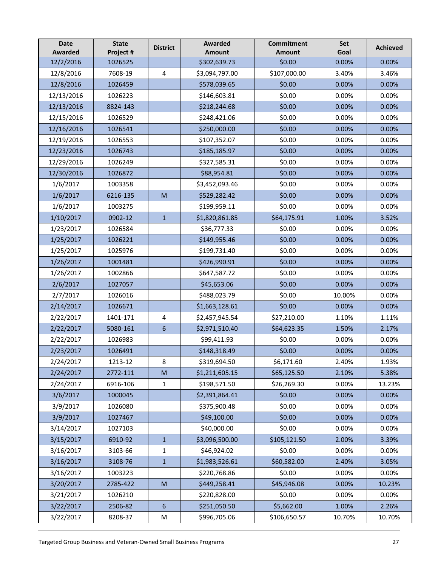| <b>Date</b><br><b>Awarded</b> | <b>State</b><br>Project # | <b>District</b>                                                                                            | <b>Awarded</b><br><b>Amount</b> | <b>Commitment</b><br><b>Amount</b> | Set<br>Goal | <b>Achieved</b> |
|-------------------------------|---------------------------|------------------------------------------------------------------------------------------------------------|---------------------------------|------------------------------------|-------------|-----------------|
| 12/2/2016                     | 1026525                   |                                                                                                            | \$302,639.73                    | \$0.00                             | 0.00%       | 0.00%           |
| 12/8/2016                     | 7608-19                   | $\overline{\mathbf{4}}$                                                                                    | \$3,094,797.00                  | \$107,000.00                       | 3.40%       | 3.46%           |
| 12/8/2016                     | 1026459                   |                                                                                                            | \$578,039.65                    | \$0.00                             | 0.00%       | 0.00%           |
| 12/13/2016                    | 1026223                   |                                                                                                            | \$146,603.81                    | \$0.00                             | 0.00%       | 0.00%           |
| 12/13/2016                    | 8824-143                  |                                                                                                            | \$218,244.68                    | \$0.00                             | 0.00%       | 0.00%           |
| 12/15/2016                    | 1026529                   |                                                                                                            | \$248,421.06                    | \$0.00                             | 0.00%       | 0.00%           |
| 12/16/2016                    | 1026541                   |                                                                                                            | \$250,000.00                    | \$0.00                             | 0.00%       | 0.00%           |
| 12/19/2016                    | 1026553                   |                                                                                                            | \$107,352.07                    | \$0.00                             | 0.00%       | 0.00%           |
| 12/23/2016                    | 1026743                   |                                                                                                            | \$185,185.97                    | \$0.00                             | 0.00%       | 0.00%           |
| 12/29/2016                    | 1026249                   |                                                                                                            | \$327,585.31                    | \$0.00                             | 0.00%       | 0.00%           |
| 12/30/2016                    | 1026872                   |                                                                                                            | \$88,954.81                     | \$0.00                             | 0.00%       | 0.00%           |
| 1/6/2017                      | 1003358                   |                                                                                                            | \$3,452,093.46                  | \$0.00                             | 0.00%       | 0.00%           |
| 1/6/2017                      | 6216-135                  | M                                                                                                          | \$529,282.42                    | \$0.00                             | 0.00%       | 0.00%           |
| 1/6/2017                      | 1003275                   |                                                                                                            | \$199,959.11                    | \$0.00                             | 0.00%       | 0.00%           |
| 1/10/2017                     | 0902-12                   | $\mathbf{1}$                                                                                               | \$1,820,861.85                  | \$64,175.91                        | 1.00%       | 3.52%           |
| 1/23/2017                     | 1026584                   |                                                                                                            | \$36,777.33                     | \$0.00                             | 0.00%       | 0.00%           |
| 1/25/2017                     | 1026221                   |                                                                                                            | \$149,955.46                    | \$0.00                             | 0.00%       | 0.00%           |
| 1/25/2017                     | 1025976                   |                                                                                                            | \$199,731.40                    | \$0.00                             | 0.00%       | 0.00%           |
| 1/26/2017                     | 1001481                   |                                                                                                            | \$426,990.91                    | \$0.00                             | 0.00%       | 0.00%           |
| 1/26/2017                     | 1002866                   |                                                                                                            | \$647,587.72                    | \$0.00                             | 0.00%       | 0.00%           |
| 2/6/2017                      | 1027057                   |                                                                                                            | \$45,653.06                     | \$0.00                             | 0.00%       | 0.00%           |
| 2/7/2017                      | 1026016                   |                                                                                                            | \$488,023.79                    | \$0.00                             | 10.00%      | 0.00%           |
| 2/14/2017                     | 1026671                   |                                                                                                            | \$1,663,128.61                  | \$0.00                             | 0.00%       | 0.00%           |
| 2/22/2017                     | 1401-171                  | 4                                                                                                          | \$2,457,945.54                  | \$27,210.00                        | 1.10%       | 1.11%           |
| 2/22/2017                     | 5080-161                  | 6                                                                                                          | \$2,971,510.40                  | \$64,623.35                        | 1.50%       | 2.17%           |
| 2/22/2017                     | 1026983                   |                                                                                                            | \$99,411.93                     | \$0.00                             | 0.00%       | 0.00%           |
| 2/23/2017                     | 1026491                   |                                                                                                            | \$148,318.49                    | \$0.00                             | 0.00%       | 0.00%           |
| 2/24/2017                     | 1213-12                   | 8                                                                                                          | \$319,694.50                    | \$6,171.60                         | 2.40%       | 1.93%           |
| 2/24/2017                     | 2772-111                  | M                                                                                                          | \$1,211,605.15                  | \$65,125.50                        | 2.10%       | 5.38%           |
| 2/24/2017                     | 6916-106                  | $\mathbf{1}$                                                                                               | \$198,571.50                    | \$26,269.30                        | 0.00%       | 13.23%          |
| 3/6/2017                      | 1000045                   |                                                                                                            | \$2,391,864.41                  | \$0.00                             | 0.00%       | 0.00%           |
| 3/9/2017                      | 1026080                   |                                                                                                            | \$375,900.48                    | \$0.00                             | 0.00%       | 0.00%           |
| 3/9/2017                      | 1027467                   |                                                                                                            | \$49,100.00                     | \$0.00                             | 0.00%       | 0.00%           |
| 3/14/2017                     | 1027103                   |                                                                                                            | \$40,000.00                     | \$0.00                             | 0.00%       | 0.00%           |
| 3/15/2017                     | 6910-92                   | $\mathbf{1}$                                                                                               | \$3,096,500.00                  | \$105,121.50                       | 2.00%       | 3.39%           |
| 3/16/2017                     | 3103-66                   | $\mathbf 1$                                                                                                | \$46,924.02                     | \$0.00                             | 0.00%       | 0.00%           |
| 3/16/2017                     | 3108-76                   | $1\,$                                                                                                      | \$1,983,526.61                  | \$60,582.00                        | 2.40%       | 3.05%           |
| 3/16/2017                     | 1003223                   |                                                                                                            | \$220,768.86                    | \$0.00                             | 0.00%       | 0.00%           |
| 3/20/2017                     | 2785-422                  | $\mathsf{M}% _{T}=\mathsf{M}_{T}\!\left( a,b\right) ,\ \mathsf{M}_{T}=\mathsf{M}_{T}\!\left( a,b\right) ,$ | \$449,258.41                    | \$45,946.08                        | 0.00%       | 10.23%          |
| 3/21/2017                     | 1026210                   |                                                                                                            | \$220,828.00                    | \$0.00                             | 0.00%       | 0.00%           |
| 3/22/2017                     | 2506-82                   | 6                                                                                                          | \$251,050.50                    | \$5,662.00                         | 1.00%       | 2.26%           |
| 3/22/2017                     | 8208-37                   | М                                                                                                          | \$996,705.06                    | \$106,650.57                       | 10.70%      | 10.70%          |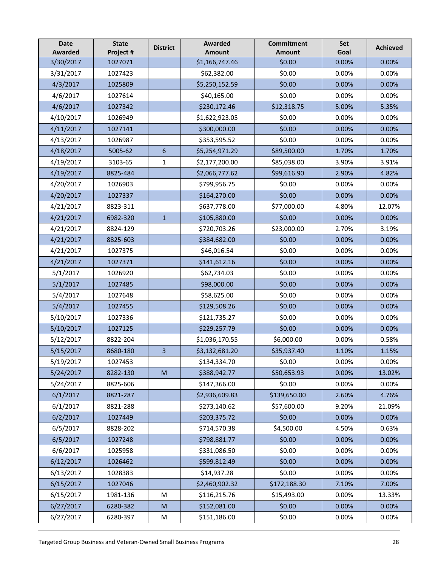| <b>Date</b><br><b>Awarded</b> | <b>State</b><br>Project # | <b>District</b> | <b>Awarded</b><br><b>Amount</b> | <b>Commitment</b><br><b>Amount</b> | Set<br>Goal | <b>Achieved</b> |
|-------------------------------|---------------------------|-----------------|---------------------------------|------------------------------------|-------------|-----------------|
| 3/30/2017                     | 1027071                   |                 | \$1,166,747.46                  | \$0.00                             | 0.00%       | 0.00%           |
| 3/31/2017                     | 1027423                   |                 | \$62,382.00                     | \$0.00                             | 0.00%       | 0.00%           |
| 4/3/2017                      | 1025809                   |                 | \$5,250,152.59                  | \$0.00                             | 0.00%       | 0.00%           |
| 4/6/2017                      | 1027614                   |                 | \$40,165.00                     | \$0.00                             | 0.00%       | 0.00%           |
| 4/6/2017                      | 1027342                   |                 | \$230,172.46                    | \$12,318.75                        | 5.00%       | 5.35%           |
| 4/10/2017                     | 1026949                   |                 | \$1,622,923.05                  | \$0.00                             | 0.00%       | 0.00%           |
| 4/11/2017                     | 1027141                   |                 | \$300,000.00                    | \$0.00                             | 0.00%       | 0.00%           |
| 4/13/2017                     | 1026987                   |                 | \$353,595.52                    | \$0.00                             | 0.00%       | 0.00%           |
| 4/18/2017                     | 5005-62                   | $6\phantom{1}$  | \$5,254,971.29                  | \$89,500.00                        | 1.70%       | 1.70%           |
| 4/19/2017                     | 3103-65                   | 1               | \$2,177,200.00                  | \$85,038.00                        | 3.90%       | 3.91%           |
| 4/19/2017                     | 8825-484                  |                 | \$2,066,777.62                  | \$99,616.90                        | 2.90%       | 4.82%           |
| 4/20/2017                     | 1026903                   |                 | \$799,956.75                    | \$0.00                             | 0.00%       | 0.00%           |
| 4/20/2017                     | 1027337                   |                 | \$164,270.00                    | \$0.00                             | 0.00%       | 0.00%           |
| 4/21/2017                     | 8823-311                  |                 | \$637,778.00                    | \$77,000.00                        | 4.80%       | 12.07%          |
| 4/21/2017                     | 6982-320                  | $\mathbf{1}$    | \$105,880.00                    | \$0.00                             | 0.00%       | 0.00%           |
| 4/21/2017                     | 8824-129                  |                 | \$720,703.26                    | \$23,000.00                        | 2.70%       | 3.19%           |
| 4/21/2017                     | 8825-603                  |                 | \$384,682.00                    | \$0.00                             | 0.00%       | 0.00%           |
| 4/21/2017                     | 1027375                   |                 | \$46,016.54                     | \$0.00                             | 0.00%       | 0.00%           |
| 4/21/2017                     | 1027371                   |                 | \$141,612.16                    | \$0.00                             | 0.00%       | 0.00%           |
| 5/1/2017                      | 1026920                   |                 | \$62,734.03                     | \$0.00                             | 0.00%       | 0.00%           |
| 5/1/2017                      | 1027485                   |                 | \$98,000.00                     | \$0.00                             | 0.00%       | 0.00%           |
| 5/4/2017                      | 1027648                   |                 | \$58,625.00                     | \$0.00                             | 0.00%       | 0.00%           |
| 5/4/2017                      | 1027455                   |                 | \$129,508.26                    | \$0.00                             | 0.00%       | 0.00%           |
| 5/10/2017                     | 1027336                   |                 | \$121,735.27                    | \$0.00                             | 0.00%       | 0.00%           |
| 5/10/2017                     | 1027125                   |                 | \$229,257.79                    | \$0.00                             | 0.00%       | 0.00%           |
| 5/12/2017                     | 8822-204                  |                 | \$1,036,170.55                  | \$6,000.00                         | 0.00%       | 0.58%           |
| 5/15/2017                     | 8680-180                  | 3               | \$3,132,681.20                  | \$35,937.40                        | 1.10%       | 1.15%           |
| 5/19/2017                     | 1027453                   |                 | \$134,334.70                    | \$0.00                             | 0.00%       | 0.00%           |
| 5/24/2017                     | 8282-130                  | M               | \$388,942.77                    | \$50,653.93                        | 0.00%       | 13.02%          |
| 5/24/2017                     | 8825-606                  |                 | \$147,366.00                    | \$0.00                             | 0.00%       | 0.00%           |
| 6/1/2017                      | 8821-287                  |                 | \$2,936,609.83                  | \$139,650.00                       | 2.60%       | 4.76%           |
| 6/1/2017                      | 8821-288                  |                 | \$273,140.62                    | \$57,600.00                        | 9.20%       | 21.09%          |
| 6/2/2017                      | 1027449                   |                 | \$203,375.72                    | \$0.00                             | 0.00%       | 0.00%           |
| 6/5/2017                      | 8828-202                  |                 | \$714,570.38                    | \$4,500.00                         | 4.50%       | 0.63%           |
| 6/5/2017                      | 1027248                   |                 | \$798,881.77                    | \$0.00                             | 0.00%       | 0.00%           |
| 6/6/2017                      | 1025958                   |                 | \$331,086.50                    | \$0.00                             | 0.00%       | 0.00%           |
| 6/12/2017                     | 1026462                   |                 | \$599,812.49                    | \$0.00                             | 0.00%       | 0.00%           |
| 6/13/2017                     | 1028383                   |                 | \$14,937.28                     | \$0.00                             | 0.00%       | 0.00%           |
| 6/15/2017                     | 1027046                   |                 | \$2,460,902.32                  | \$172,188.30                       | 7.10%       | 7.00%           |
| 6/15/2017                     | 1981-136                  | M               | \$116,215.76                    | \$15,493.00                        | 0.00%       | 13.33%          |
| 6/27/2017                     | 6280-382                  | M               | \$152,081.00                    | \$0.00                             | 0.00%       | 0.00%           |
| 6/27/2017                     | 6280-397                  | M               | \$151,186.00                    | \$0.00                             | 0.00%       | 0.00%           |